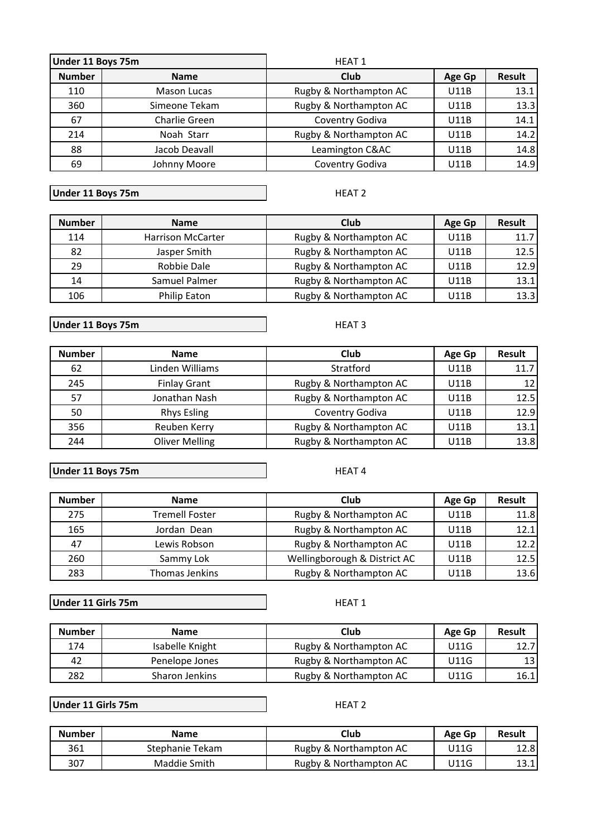| Under 11 Boys 75m |                    | <b>HEAT 1</b>          |             |               |
|-------------------|--------------------|------------------------|-------------|---------------|
| <b>Number</b>     | <b>Name</b>        | Club                   | Age Gp      | <b>Result</b> |
| 110               | <b>Mason Lucas</b> | Rugby & Northampton AC | <b>U11B</b> | 13.1          |
| 360               | Simeone Tekam      | Rugby & Northampton AC | U11B        | 13.3          |
| 67                | Charlie Green      | Coventry Godiva        | U11B        | 14.1          |
| 214               | Noah Starr         | Rugby & Northampton AC | U11B        | 14.2          |
| 88                | Jacob Deavall      | Leamington C&AC        | U11B        | 14.8          |
| 69                | Johnny Moore       | Coventry Godiva        | U11B        | 14.9          |

**Under 11 Boys 75m**

 $\sim$ 

HEAT<sub>2</sub>

| <b>Number</b> | <b>Name</b>              | Club                   | Age Gp | <b>Result</b> |
|---------------|--------------------------|------------------------|--------|---------------|
| 114           | <b>Harrison McCarter</b> | Rugby & Northampton AC | U11B   | 11.7          |
| 82            | Jasper Smith             | Rugby & Northampton AC | U11B   | 12.5          |
| 29            | Robbie Dale              | Rugby & Northampton AC | U11B   | 12.9          |
| 14            | Samuel Palmer            | Rugby & Northampton AC | U11B   | 13.1          |
| 106           | Philip Eaton             | Rugby & Northampton AC | U11B   | 13.3          |

**Under 11 Boys 75m**

HEAT<sub>3</sub>

| <b>Number</b> | <b>Name</b>           | Club                   | Age Gp      | Result          |
|---------------|-----------------------|------------------------|-------------|-----------------|
| 62            | Linden Williams       | Stratford              | <b>U11B</b> | 11.7            |
| 245           | <b>Finlay Grant</b>   | Rugby & Northampton AC | U11B        | 12 <sub>1</sub> |
| 57            | Jonathan Nash         | Rugby & Northampton AC | <b>U11B</b> | 12.5            |
| 50            | <b>Rhys Esling</b>    | Coventry Godiva        | U11B        | 12.9            |
| 356           | Reuben Kerry          | Rugby & Northampton AC | U11B        | 13.1            |
| 244           | <b>Oliver Melling</b> | Rugby & Northampton AC | U11B        | 13.8            |

**Under 11 Boys 75m**

HEAT<sub>4</sub>

| <b>Number</b> | <b>Name</b>           | Club                         | Age Gp | <b>Result</b> |
|---------------|-----------------------|------------------------------|--------|---------------|
| 275           | <b>Tremell Foster</b> | Rugby & Northampton AC       | U11B   | 11.8          |
| 165           | Jordan Dean           | Rugby & Northampton AC       | U11B   | 12.1          |
| 47            | Lewis Robson          | Rugby & Northampton AC       | U11B   | 12.2          |
| 260           | Sammy Lok             | Wellingborough & District AC | U11B   | 12.5          |
| 283           | Thomas Jenkins        | Rugby & Northampton AC       | U11B   | 13.6          |

**Under 11 Girls 75m**

HEAT<sub>1</sub>

| <b>Number</b> | <b>Name</b>     | Club                   | Age Gp | Result |
|---------------|-----------------|------------------------|--------|--------|
| 174           | Isabelle Knight | Rugby & Northampton AC | U11G   | 12.7   |
| 42            | Penelope Jones  | Rugby & Northampton AC | U11G   | 13 I   |
| 282           | Sharon Jenkins  | Rugby & Northampton AC | U11G   | 16.1   |

**Under 11 Girls 75m**

HEAT<sub>2</sub>

| <b>Number</b> | Name            | Club                   | Age Gp | Result |
|---------------|-----------------|------------------------|--------|--------|
| 361           | Stephanie Tekam | Rugby & Northampton AC | U11G   | 12.8   |
| 307           | Maddie Smith    | Rugby & Northampton AC | U11G   | 13.1   |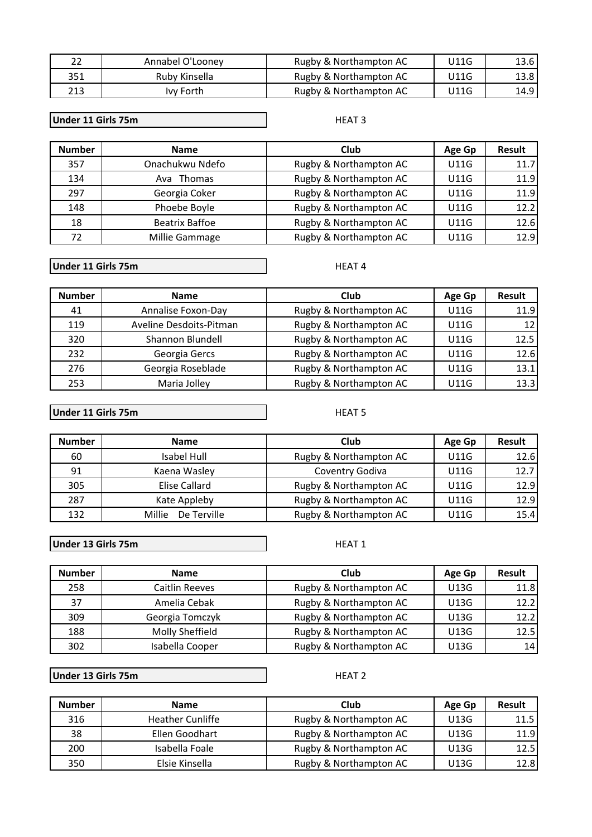| 22  | Annabel O'Looney | Rugby & Northampton AC | U11G | 13.6 l |
|-----|------------------|------------------------|------|--------|
| 351 | Ruby Kinsella    | Rugby & Northampton AC | U11G | 13.8   |
| 213 | lvy Forth        | Rugby & Northampton AC | U11G | 14.9 l |

#### **Under 11 Girls 75m**

#### HEAT<sub>3</sub>

| <b>Number</b> | <b>Name</b>           | Club                   | Age Gp      | Result |
|---------------|-----------------------|------------------------|-------------|--------|
| 357           | Onachukwu Ndefo       | Rugby & Northampton AC | U11G        | 11.7   |
| 134           | Ava Thomas            | Rugby & Northampton AC | U11G        | 11.9   |
| 297           | Georgia Coker         | Rugby & Northampton AC | U11G        | 11.9   |
| 148           | Phoebe Boyle          | Rugby & Northampton AC | U11G        | 12.2   |
| 18            | <b>Beatrix Baffoe</b> | Rugby & Northampton AC | U11G        | 12.6   |
| 72            | Millie Gammage        | Rugby & Northampton AC | <b>U11G</b> | 12.9   |

#### **Under 11 Girls 75m**

**Number Name Club Age Gp Result** 41 | Annalise Foxon-Day | Rugby & Northampton AC | U11G | 11.9 119 | Aveline Desdoits-Pitman | Rugby & Northampton AC | U11G | 12 320 Shannon Blundell | Rugby & Northampton AC | U11G | 12.5 232 Georgia Gercs Rugby & Northampton AC U11G 12.6 276 | Georgia Roseblade | Rugby & Northampton AC | U11G | 13.1 253 | Maria Jolley | Rugby & Northampton AC | U11G | 13.3

#### **Under 11 Girls 75m**

**Number Name Club Age Gp Result** 60 | Isabel Hull Rugby & Northampton AC | U11G | 12.6 91 | Kaena Wasley | Coventry Godiva | U11G | 12.7 305 **Elise Callard** Rugby & Northampton AC U11G 12.9 287 | Kate Appleby | Rugby & Northampton AC | U11G | 12.9 132 | Millie De Terville | Rugby & Northampton AC | U11G | 15.4

**Under 13 Girls 75m**

| <b>Number</b> | <b>Name</b>     | Club                   | Age Gp | <b>Result</b> |
|---------------|-----------------|------------------------|--------|---------------|
| 258           | Caitlin Reeves  | Rugby & Northampton AC | U13G   | 11.8          |
| 37            | Amelia Cebak    | Rugby & Northampton AC | U13G   | 12.2          |
| 309           | Georgia Tomczyk | Rugby & Northampton AC | U13G   | 12.2          |
| 188           | Molly Sheffield | Rugby & Northampton AC | U13G   | 12.5          |
| 302           | Isabella Cooper | Rugby & Northampton AC | U13G   | 14            |

**Under 13 Girls 75m**

HEAT<sub>2</sub>

| <b>Number</b> | <b>Name</b>             | Club                   | Age Gp | Result |
|---------------|-------------------------|------------------------|--------|--------|
| 316           | <b>Heather Cunliffe</b> | Rugby & Northampton AC | U13G   | 11.5   |
| 38            | Ellen Goodhart          | Rugby & Northampton AC | U13G   | 11.9   |
| 200           | Isabella Foale          | Rugby & Northampton AC | U13G   | 12.5   |
| 350           | Elsie Kinsella          | Rugby & Northampton AC | U13G   | 12.8   |

HEAT<sub>4</sub>

### **HEAT 5**

HEAT<sub>1</sub>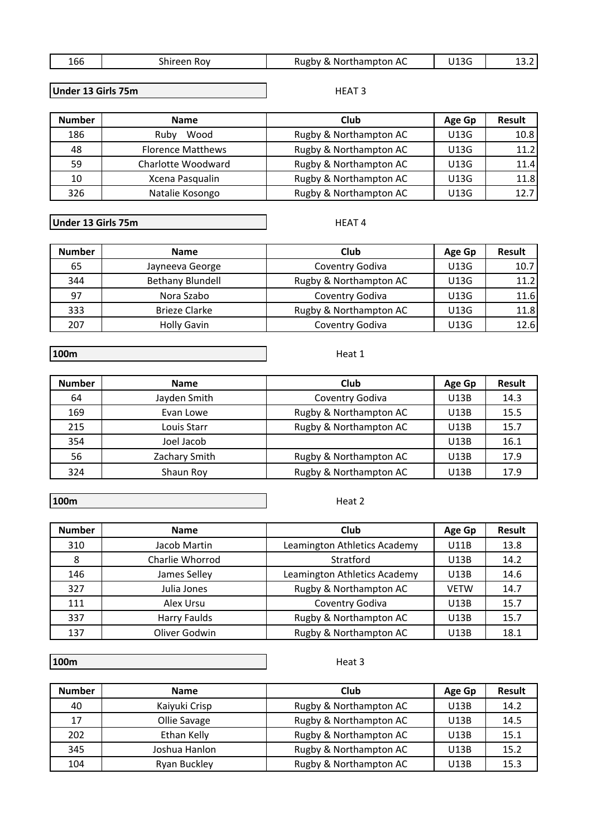|  | $\sim$<br>тор | .<br>ROV | AC<br>Rugby<br>hamnton<br>-NOLTNAI<br>$\sim$ |  |  |
|--|---------------|----------|----------------------------------------------|--|--|
|--|---------------|----------|----------------------------------------------|--|--|

**Under 13 Girls 75m**

| <b>Number</b> | <b>Name</b>              | Club                   | Age Gp | <b>Result</b> |
|---------------|--------------------------|------------------------|--------|---------------|
| 186           | Wood<br>Ruby             | Rugby & Northampton AC | U13G   | 10.8          |
| 48            | <b>Florence Matthews</b> | Rugby & Northampton AC | U13G   | 11.2          |
| 59            | Charlotte Woodward       | Rugby & Northampton AC | U13G   | 11.4          |
| 10            | Xcena Pasqualin          | Rugby & Northampton AC | U13G   | 11.8          |
| 326           | Natalie Kosongo          | Rugby & Northampton AC | U13G   | 12.7          |

**Under 13 Girls 75m**

HEAT<sub>4</sub>

Heat 1

HEAT<sub>3</sub>

| <b>Number</b> | <b>Name</b>             | Club                   | Age Gp | Result |
|---------------|-------------------------|------------------------|--------|--------|
| 65            | Jayneeva George         | Coventry Godiva        | U13G   | 10.7   |
| 344           | <b>Bethany Blundell</b> | Rugby & Northampton AC | U13G   | 11.2   |
| 97            | Nora Szabo              | Coventry Godiva        | U13G   | 11.6   |
| 333           | Brieze Clarke           | Rugby & Northampton AC | U13G   | 11.8   |
| 207           | <b>Holly Gavin</b>      | Coventry Godiva        | U13G   | 12.6   |

**100m** 

## **Number Name Club Age Gp Result** 64 Jayden Smith Coventry Godiva | U13B | 14.3 169 **Evan Lowe Rugby & Northampton AC** U13B 15.5 215 | Louis Starr | Rugby & Northampton AC | U13B | 15.7 354 Joel Jacob Joel Jacob July 16.1 56 **Zachary Smith** Rugby & Northampton AC | U13B | 17.9 324 Shaun Roy Rugby & Northampton AC U13B 17.9

**100m** 

Heat 2

| <b>Number</b> | <b>Name</b>     | Club                         | Age Gp      | Result |
|---------------|-----------------|------------------------------|-------------|--------|
| 310           | Jacob Martin    | Leamington Athletics Academy | U11B        | 13.8   |
| 8             | Charlie Whorrod | Stratford                    | U13B        | 14.2   |
| 146           | James Selley    | Leamington Athletics Academy | <b>U13B</b> | 14.6   |
| 327           | Julia Jones     | Rugby & Northampton AC       | <b>VETW</b> | 14.7   |
| 111           | Alex Ursu       | Coventry Godiva              | U13B        | 15.7   |
| 337           | Harry Faulds    | Rugby & Northampton AC       | U13B        | 15.7   |
| 137           | Oliver Godwin   | Rugby & Northampton AC       | U13B        | 18.1   |

**100m** 

| <b>Number</b> | <b>Name</b>   | Club                   | Age Gp | Result |
|---------------|---------------|------------------------|--------|--------|
| 40            | Kaiyuki Crisp | Rugby & Northampton AC | U13B   | 14.2   |
| 17            | Ollie Savage  | Rugby & Northampton AC | U13B   | 14.5   |
| 202           | Ethan Kelly   | Rugby & Northampton AC | U13B   | 15.1   |
| 345           | Joshua Hanlon | Rugby & Northampton AC | U13B   | 15.2   |
| 104           | Ryan Buckley  | Rugby & Northampton AC | U13B   | 15.3   |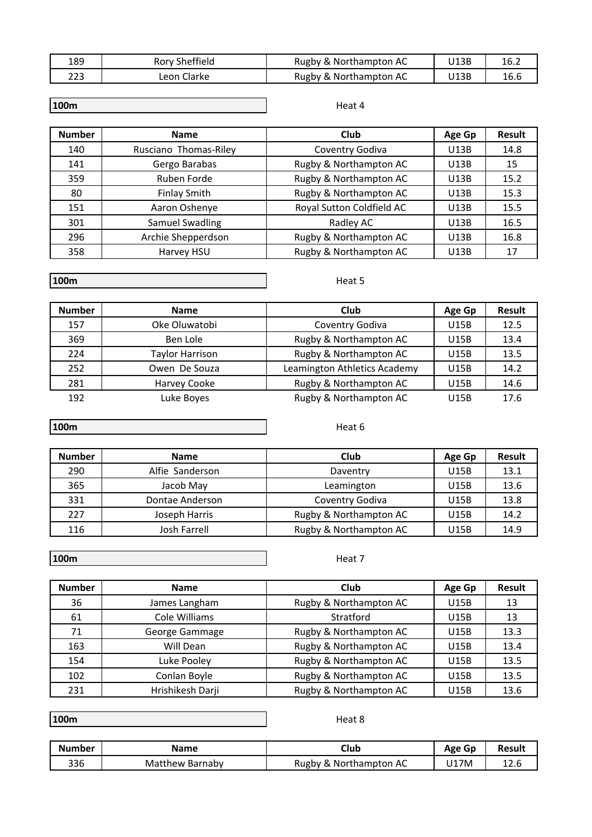| 189 | Rory Sheffield | Rugby & Northampton AC | J13B | 16.2 |
|-----|----------------|------------------------|------|------|
| 223 | ∟eon Clarke    | Rugby & Northampton AC | J13B | 16.6 |

### Heat 4

| <b>Number</b> | <b>Name</b>            | Club                      | Age Gp | <b>Result</b> |
|---------------|------------------------|---------------------------|--------|---------------|
| 140           | Rusciano Thomas-Riley  | Coventry Godiva           | U13B   | 14.8          |
| 141           | Gergo Barabas          | Rugby & Northampton AC    | U13B   | 15            |
| 359           | Ruben Forde            | Rugby & Northampton AC    | U13B   | 15.2          |
| 80            | <b>Finlay Smith</b>    | Rugby & Northampton AC    | U13B   | 15.3          |
| 151           | Aaron Oshenye          | Royal Sutton Coldfield AC | U13B   | 15.5          |
| 301           | <b>Samuel Swadling</b> | Radley AC                 | U13B   | 16.5          |
| 296           | Archie Shepperdson     | Rugby & Northampton AC    | U13B   | 16.8          |
| 358           | Harvey HSU             | Rugby & Northampton AC    | U13B   | 17            |

### **100m**

Heat 5

| <b>Number</b> | <b>Name</b>            | Club                         | Age Gp | <b>Result</b> |
|---------------|------------------------|------------------------------|--------|---------------|
| 157           | Oke Oluwatobi          | Coventry Godiva              | U15B   | 12.5          |
| 369           | Ben Lole               | Rugby & Northampton AC       | U15B   | 13.4          |
| 224           | <b>Taylor Harrison</b> | Rugby & Northampton AC       | U15B   | 13.5          |
| 252           | Owen De Souza          | Leamington Athletics Academy | U15B   | 14.2          |
| 281           | Harvey Cooke           | Rugby & Northampton AC       | U15B   | 14.6          |
| 192           | Luke Boyes             | Rugby & Northampton AC       | U15B   | 17.6          |

**100m** 

| <b>Number</b> | <b>Name</b>     | Club                   | Age Gp | <b>Result</b> |
|---------------|-----------------|------------------------|--------|---------------|
| 290           | Alfie Sanderson | Daventry               | U15B   | 13.1          |
| 365           | Jacob May       | Leamington             | U15B   | 13.6          |
| 331           | Dontae Anderson | Coventry Godiva        | U15B   | 13.8          |
| 227           | Joseph Harris   | Rugby & Northampton AC | U15B   | 14.2          |
| 116           | Josh Farrell    | Rugby & Northampton AC | U15B   | 14.9          |

**100m** 

Heat 7

Heat 8

Heat 6

| <b>Number</b> | <b>Name</b>      | Club                   | Age Gp      | <b>Result</b> |
|---------------|------------------|------------------------|-------------|---------------|
| 36            | James Langham    | Rugby & Northampton AC | <b>U15B</b> | 13            |
| 61            | Cole Williams    | Stratford              | U15B        | 13            |
| 71            | George Gammage   | Rugby & Northampton AC | <b>U15B</b> | 13.3          |
| 163           | Will Dean        | Rugby & Northampton AC | U15B        | 13.4          |
| 154           | Luke Pooley      | Rugby & Northampton AC | <b>U15B</b> | 13.5          |
| 102           | Conlan Boyle     | Rugby & Northampton AC | U15B        | 13.5          |
| 231           | Hrishikesh Darji | Rugby & Northampton AC | U15B        | 13.6          |

**100m** 

| Number | Name               | Club                            | Age Gp | Result |
|--------|--------------------|---------------------------------|--------|--------|
| 336    | Matthew<br>Barnaby | . Northampton AC<br>Rugby<br>х, | J17M   | 12.U   |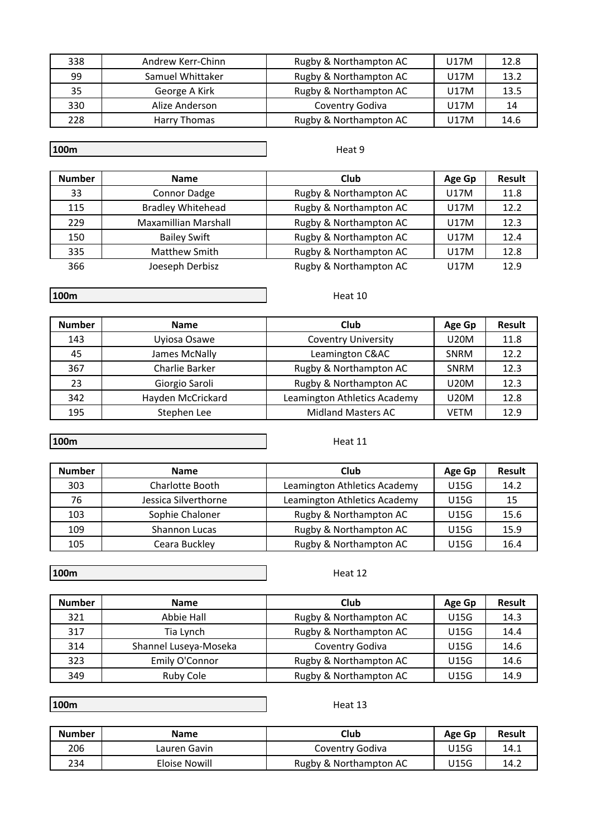| 338 | Andrew Kerr-Chinn | Rugby & Northampton AC | U17M | 12.8 |
|-----|-------------------|------------------------|------|------|
| 99  | Samuel Whittaker  | Rugby & Northampton AC | U17M | 13.2 |
| 35  | George A Kirk     | Rugby & Northampton AC | U17M | 13.5 |
| 330 | Alize Anderson    | Coventry Godiva        | U17M | 14   |
| 228 | Harry Thomas      | Rugby & Northampton AC | U17M | 14.6 |

Heat 9

| <b>Number</b> | <b>Name</b>                 | Club                   | Age Gp | <b>Result</b> |
|---------------|-----------------------------|------------------------|--------|---------------|
| 33            | Connor Dadge                | Rugby & Northampton AC | U17M   | 11.8          |
| 115           | <b>Bradley Whitehead</b>    | Rugby & Northampton AC | U17M   | 12.2          |
| 229           | <b>Maxamillian Marshall</b> | Rugby & Northampton AC | U17M   | 12.3          |
| 150           | <b>Bailey Swift</b>         | Rugby & Northampton AC | U17M   | 12.4          |
| 335           | <b>Matthew Smith</b>        | Rugby & Northampton AC | U17M   | 12.8          |
| 366           | Joeseph Derbisz             | Rugby & Northampton AC | U17M   | 12.9          |

**100m** 

**Number Name Club Age Gp Result** 143 | Uyiosa Osawe | Coventry University | U20M | 11.8 45 | James McNally | Leamington C&AC | SNRM | 12.2 367 Charlie Barker Rugby & Northampton AC SNRM 12.3 23 | Giorgio Saroli | Rugby & Northampton AC | U20M | 12.3 342 | Hayden McCrickard | Leamington Athletics Academy | U20M | 12.8

**100m** 

Heat 11

| <b>Number</b> | <b>Name</b>          | Club                         | Age Gp      | <b>Result</b> |
|---------------|----------------------|------------------------------|-------------|---------------|
| 303           | Charlotte Booth      | Leamington Athletics Academy | <b>U15G</b> | 14.2          |
| 76            | Jessica Silverthorne | Leamington Athletics Academy | <b>U15G</b> | 15            |
| 103           | Sophie Chaloner      | Rugby & Northampton AC       | U15G        | 15.6          |
| 109           | <b>Shannon Lucas</b> | Rugby & Northampton AC       | U15G        | 15.9          |
| 105           | Ceara Buckley        | Rugby & Northampton AC       | U15G        | 16.4          |

195 | Stephen Lee | Midland Masters AC | VETM | 12.9

**100m** 

Heat 12

| <b>Number</b> | <b>Name</b>           | Club                   | Age Gp | <b>Result</b> |
|---------------|-----------------------|------------------------|--------|---------------|
| 321           | <b>Abbie Hall</b>     | Rugby & Northampton AC | U15G   | 14.3          |
| 317           | Tia Lynch             | Rugby & Northampton AC | U15G   | 14.4          |
| 314           | Shannel Luseya-Moseka | Coventry Godiva        | U15G   | 14.6          |
| 323           | Emily O'Connor        | Rugby & Northampton AC | U15G   | 14.6          |
| 349           | Ruby Cole             | Rugby & Northampton AC | U15G   | 14.9          |

**100m** 

Heat 13

| <b>Number</b> | <b>Name</b>   | Club                   | Age Gp | Result |
|---------------|---------------|------------------------|--------|--------|
| 206           | Lauren Gavin  | Coventry Godiva        | U15G   | 14.1   |
| 234           | Eloise Nowill | Rugby & Northampton AC | U15G   | 14.2   |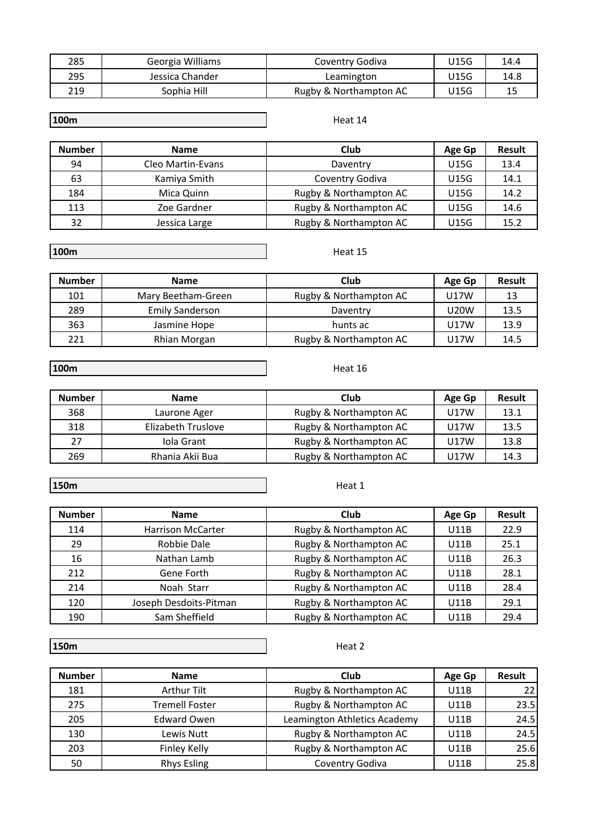| 285 | Georgia Williams | Coventry Godiva        | U15G | 14.4 |
|-----|------------------|------------------------|------|------|
| 295 | Jessica Chander  | Leamington             | J15G | 14.8 |
| 219 | Sophia Hill      | Rugby & Northampton AC | U15G | 15   |

#### Heat 14

Heat 15

Heat 16

| <b>Number</b> | <b>Name</b>       | Club                   | Age Gp | <b>Result</b> |
|---------------|-------------------|------------------------|--------|---------------|
| 94            | Cleo Martin-Evans | Daventry               | U15G   | 13.4          |
| 63            | Kamiya Smith      | Coventry Godiva        | U15G   | 14.1          |
| 184           | Mica Quinn        | Rugby & Northampton AC | U15G   | 14.2          |
| 113           | Zoe Gardner       | Rugby & Northampton AC | U15G   | 14.6          |
| 32            | Jessica Large     | Rugby & Northampton AC | U15G   | 15.2          |

**100m** 

| <b>Number</b> | <b>Name</b>            | Club                   | Age Gp      | <b>Result</b> |
|---------------|------------------------|------------------------|-------------|---------------|
| 101           | Mary Beetham-Green     | Rugby & Northampton AC | U17W        |               |
| 289           | <b>Emily Sanderson</b> | Daventry               | <b>U20W</b> | 13.5          |
| 363           | Jasmine Hope           | hunts ac               | U17W        | 13.9          |
| 221           | Rhian Morgan           | Rugby & Northampton AC | U17W        | 14.5          |

**100m** 

| <b>Number</b> | <b>Name</b>        | Club                   | Age Gp | <b>Result</b> |
|---------------|--------------------|------------------------|--------|---------------|
| 368           | Laurone Ager       | Rugby & Northampton AC | U17W   | 13.1          |
| 318           | Elizabeth Truslove | Rugby & Northampton AC | U17W   | 13.5          |
| 27            | Iola Grant         | Rugby & Northampton AC | U17W   | 13.8          |
| 269           | Rhania Akii Bua    | Rugby & Northampton AC | U17W   | 14.3          |

**150m** 

Heat 1

| <b>Number</b> | <b>Name</b>              | Club                   | Age Gp      | Result |
|---------------|--------------------------|------------------------|-------------|--------|
| 114           | <b>Harrison McCarter</b> | Rugby & Northampton AC | <b>U11B</b> | 22.9   |
| 29            | <b>Robbie Dale</b>       | Rugby & Northampton AC | U11B        | 25.1   |
| 16            | Nathan Lamb              | Rugby & Northampton AC | U11B        | 26.3   |
| 212           | Gene Forth               | Rugby & Northampton AC | U11B        | 28.1   |
| 214           | Noah Starr               | Rugby & Northampton AC | U11B        | 28.4   |
| 120           | Joseph Desdoits-Pitman   | Rugby & Northampton AC | U11B        | 29.1   |
| 190           | Sam Sheffield            | Rugby & Northampton AC | U11B        | 29.4   |

**150m** 

| <b>Number</b> | <b>Name</b>           | Club                         | Age Gp      | <b>Result</b> |
|---------------|-----------------------|------------------------------|-------------|---------------|
| 181           | <b>Arthur Tilt</b>    | Rugby & Northampton AC       | <b>U11B</b> | 22            |
| 275           | <b>Tremell Foster</b> | Rugby & Northampton AC       | U11B        | 23.5          |
| 205           | <b>Edward Owen</b>    | Leamington Athletics Academy | U11B        | 24.5          |
| 130           | Lewis Nutt            | Rugby & Northampton AC       | U11B        | 24.5          |
| 203           | Finley Kelly          | Rugby & Northampton AC       | U11B        | 25.6          |
| 50            | <b>Rhys Esling</b>    | Coventry Godiva              | U11B        | 25.8          |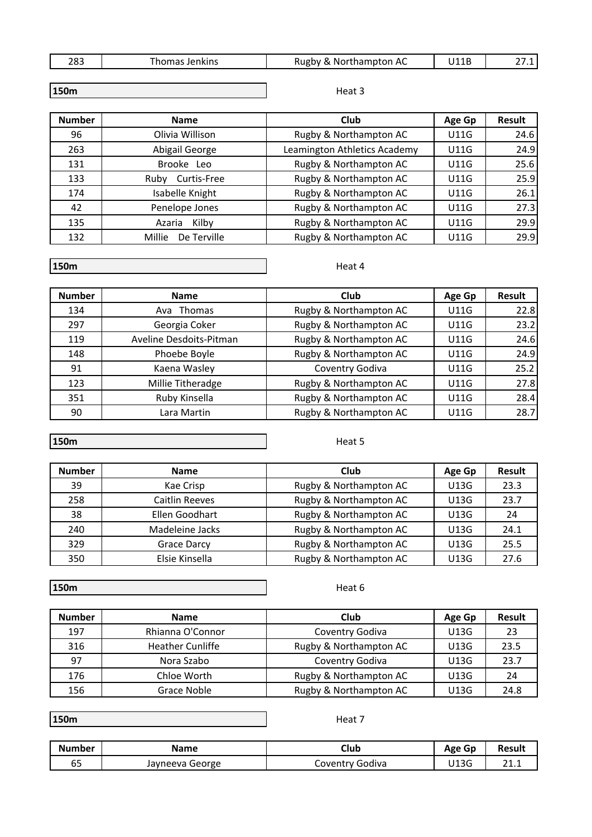| 283<br>∟ט∟ | Jenkins<br>----- | .<br>*hampton AC<br>nor<br>KUP<br>$\mathbf{w}$<br>$\sim$ | 111D<br>- 1 L 1 | . |
|------------|------------------|----------------------------------------------------------|-----------------|---|
|            |                  |                                                          |                 |   |

| 150m |
|------|
|------|

Heat 3

| <b>Number</b> | <b>Name</b>           | Club                         | Age Gp      | Result |
|---------------|-----------------------|------------------------------|-------------|--------|
| 96            | Olivia Willison       | Rugby & Northampton AC       | <b>U11G</b> | 24.6   |
| 263           | Abigail George        | Leamington Athletics Academy | <b>U11G</b> | 24.9   |
| 131           | Brooke Leo            | Rugby & Northampton AC       | U11G        | 25.6   |
| 133           | Curtis-Free<br>Ruby   | Rugby & Northampton AC       | U11G        | 25.9   |
| 174           | Isabelle Knight       | Rugby & Northampton AC       | <b>U11G</b> | 26.1   |
| 42            | Penelope Jones        | Rugby & Northampton AC       | <b>U11G</b> | 27.3   |
| 135           | Kilby<br>Azaria       | Rugby & Northampton AC       | <b>U11G</b> | 29.9   |
| 132           | Millie<br>De Terville | Rugby & Northampton AC       | <b>U11G</b> | 29.9   |

**150m** 

Heat 4

| <b>Number</b> | <b>Name</b>             | Club                   | Age Gp      | <b>Result</b> |
|---------------|-------------------------|------------------------|-------------|---------------|
| 134           | Ava Thomas              | Rugby & Northampton AC | <b>U11G</b> | 22.8          |
| 297           | Georgia Coker           | Rugby & Northampton AC | <b>U11G</b> | 23.2          |
| 119           | Aveline Desdoits-Pitman | Rugby & Northampton AC | <b>U11G</b> | 24.6          |
| 148           | Phoebe Boyle            | Rugby & Northampton AC | <b>U11G</b> | 24.9          |
| 91            | Kaena Wasley            | Coventry Godiva        | <b>U11G</b> | 25.2          |
| 123           | Millie Titheradge       | Rugby & Northampton AC | <b>U11G</b> | 27.8          |
| 351           | Ruby Kinsella           | Rugby & Northampton AC | <b>U11G</b> | 28.4          |
| 90            | Lara Martin             | Rugby & Northampton AC | <b>U11G</b> | 28.7          |

**150m** 

Heat 5

| <b>Number</b> | <b>Name</b>           | Club                   | Age Gp | <b>Result</b> |
|---------------|-----------------------|------------------------|--------|---------------|
| 39            | Kae Crisp             | Rugby & Northampton AC | U13G   | 23.3          |
| 258           | <b>Caitlin Reeves</b> | Rugby & Northampton AC | U13G   | 23.7          |
| 38            | Ellen Goodhart        | Rugby & Northampton AC | U13G   | 24            |
| 240           | Madeleine Jacks       | Rugby & Northampton AC | U13G   | 24.1          |
| 329           | Grace Darcy           | Rugby & Northampton AC | U13G   | 25.5          |
| 350           | Elsie Kinsella        | Rugby & Northampton AC | U13G   | 27.6          |

**150m** 

Heat 6

Heat 7

| <b>Number</b> | <b>Name</b>             | Club                   | Age Gp | <b>Result</b> |
|---------------|-------------------------|------------------------|--------|---------------|
| 197           | Rhianna O'Connor        | Coventry Godiva        | U13G   | 23            |
| 316           | <b>Heather Cunliffe</b> | Rugby & Northampton AC | U13G   | 23.5          |
| 97            | Nora Szabo              | Coventry Godiva        | U13G   | 23.7          |
| 176           | Chloe Worth             | Rugby & Northampton AC | U13G   | -24           |
| 156           | Grace Noble             | Rugby & Northampton AC | U13G   | 24.8          |

**150m** 

| <b>Number</b> | Name            | Club            | Age Gp | Result                |
|---------------|-----------------|-----------------|--------|-----------------------|
| --<br>ບປ      | Jayneeva George | Coventrv Godiva | U13G   | <b>CC</b><br><u>،</u> |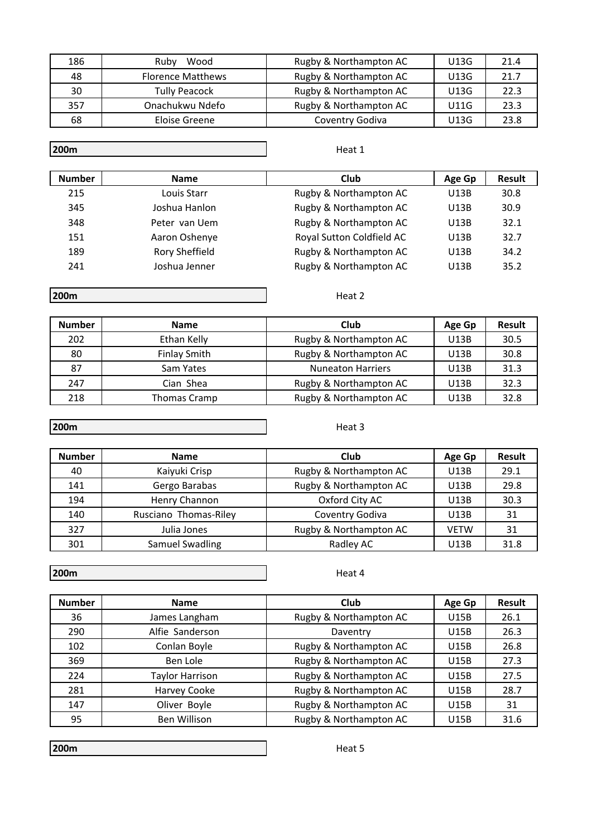| 186 | Wood<br>Ruby             | Rugby & Northampton AC | U13G | 21.4 |
|-----|--------------------------|------------------------|------|------|
| 48  | <b>Florence Matthews</b> | Rugby & Northampton AC | U13G | 21.7 |
| 30  | <b>Tully Peacock</b>     | Rugby & Northampton AC | U13G | 22.3 |
| 357 | Onachukwu Ndefo          | Rugby & Northampton AC | U11G | 23.3 |
| 68  | Eloise Greene            | Coventry Godiva        | U13G | 23.8 |

### Heat 1

| <b>Number</b> | <b>Name</b>    | Club                      | Age Gp | Result |
|---------------|----------------|---------------------------|--------|--------|
| 215           | Louis Starr    | Rugby & Northampton AC    | U13B   | 30.8   |
| 345           | Joshua Hanlon  | Rugby & Northampton AC    | U13B   | 30.9   |
| 348           | Peter van Uem  | Rugby & Northampton AC    | U13B   | 32.1   |
| 151           | Aaron Oshenye  | Royal Sutton Coldfield AC | U13B   | 32.7   |
| 189           | Rory Sheffield | Rugby & Northampton AC    | U13B   | 34.2   |
| 241           | Joshua Jenner  | Rugby & Northampton AC    | U13B   | 35.2   |

**200m**

Heat 2

Heat 3

| <b>Number</b> | <b>Name</b>         | Club                     | Age Gp | <b>Result</b> |
|---------------|---------------------|--------------------------|--------|---------------|
| 202           | Ethan Kelly         | Rugby & Northampton AC   | U13B   | 30.5          |
| 80            | <b>Finlay Smith</b> | Rugby & Northampton AC   | U13B   | 30.8          |
| 87            | Sam Yates           | <b>Nuneaton Harriers</b> | U13B   | 31.3          |
| 247           | Cian Shea           | Rugby & Northampton AC   | U13B   | 32.3          |
| 218           | Thomas Cramp        | Rugby & Northampton AC   | U13B   | 32.8          |

## **200m**

| <b>Number</b> | <b>Name</b>           | Club                   | Age Gp      | Result |
|---------------|-----------------------|------------------------|-------------|--------|
| 40            | Kaiyuki Crisp         | Rugby & Northampton AC | U13B        | 29.1   |
| 141           | Gergo Barabas         | Rugby & Northampton AC | U13B        | 29.8   |
| 194           | Henry Channon         | Oxford City AC         | U13B        | 30.3   |
| 140           | Rusciano Thomas-Riley | Coventry Godiva        | U13B        | 31     |
| 327           | Julia Jones           | Rugby & Northampton AC | <b>VETW</b> | 31     |
| 301           | Samuel Swadling       | Radley AC              | U13B        | 31.8   |

**200m**

Heat 4

| <b>Number</b> | <b>Name</b>            | Club                   | Age Gp | <b>Result</b> |
|---------------|------------------------|------------------------|--------|---------------|
| 36            | James Langham          | Rugby & Northampton AC | U15B   | 26.1          |
| 290           | Alfie Sanderson        | Daventry               | U15B   | 26.3          |
| 102           | Conlan Boyle           | Rugby & Northampton AC | U15B   | 26.8          |
| 369           | Ben Lole               | Rugby & Northampton AC | U15B   | 27.3          |
| 224           | <b>Taylor Harrison</b> | Rugby & Northampton AC | U15B   | 27.5          |
| 281           | Harvey Cooke           | Rugby & Northampton AC | U15B   | 28.7          |
| 147           | Oliver Boyle           | Rugby & Northampton AC | U15B   | 31            |
| 95            | Ben Willison           | Rugby & Northampton AC | U15B   | 31.6          |

**200m**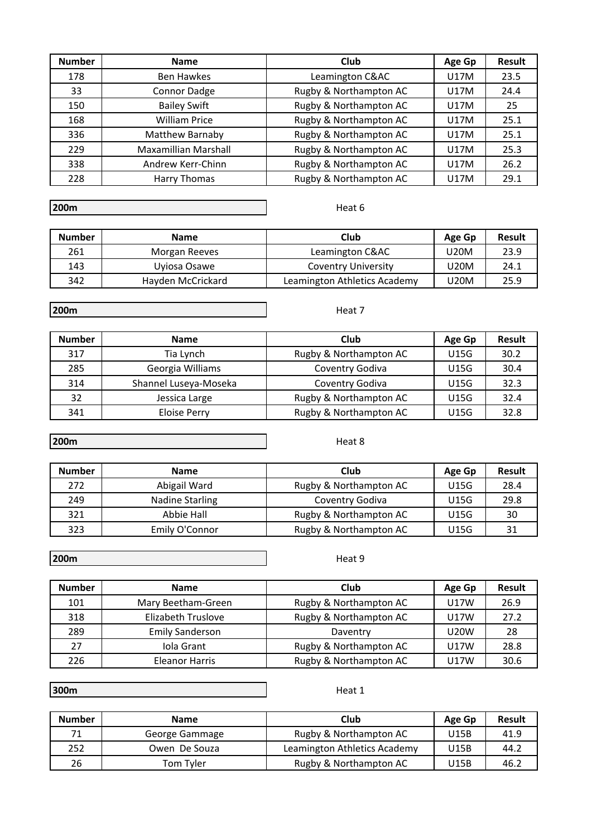| <b>Number</b> | <b>Name</b>          | Club                   | Age Gp | <b>Result</b> |
|---------------|----------------------|------------------------|--------|---------------|
| 178           | <b>Ben Hawkes</b>    | Leamington C&AC        | U17M   | 23.5          |
| 33            | Connor Dadge         | Rugby & Northampton AC | U17M   | 24.4          |
| 150           | <b>Bailey Swift</b>  | Rugby & Northampton AC | U17M   | 25            |
| 168           | <b>William Price</b> | Rugby & Northampton AC | U17M   | 25.1          |
| 336           | Matthew Barnaby      | Rugby & Northampton AC | U17M   | 25.1          |
| 229           | Maxamillian Marshall | Rugby & Northampton AC | U17M   | 25.3          |
| 338           | Andrew Kerr-Chinn    | Rugby & Northampton AC | U17M   | 26.2          |
| 228           | <b>Harry Thomas</b>  | Rugby & Northampton AC | U17M   | 29.1          |

Heat 6

Heat 7

| <b>Number</b> | <b>Name</b>       | Club                         | Age Gp | <b>Result</b> |
|---------------|-------------------|------------------------------|--------|---------------|
| 261           | Morgan Reeves     | Leamington C&AC              | U20M   | 23.9          |
| 143           | Uyiosa Osawe      | <b>Coventry University</b>   | U20M   | 24.1          |
| 342           | Hayden McCrickard | Leamington Athletics Academy | U20M   | 25.9          |

**200m**

**Number Name Club Age Gp Result** 317 | Tia Lynch | Rugby & Northampton AC | U15G | 30.2 285 | Georgia Williams | Coventry Godiva | U15G | 30.4 314 Shannel Luseya-Moseka Coventry Godiva U15G 32.3 32 | Jessica Large | Rugby & Northampton AC | U15G | 32.4 341 | Eloise Perry | Rugby & Northampton AC | U15G | 32.8

**200m**

| <b>Number</b> | <b>Name</b>     | Club                   | Age Gp | <b>Result</b> |
|---------------|-----------------|------------------------|--------|---------------|
| 272           | Abigail Ward    | Rugby & Northampton AC | U15G   | 28.4          |
| 249           | Nadine Starling | Coventry Godiva        | U15G   | 29.8          |
| 321           | Abbie Hall      | Rugby & Northampton AC | U15G   | 30            |
| 323           | Emily O'Connor  | Rugby & Northampton AC | U15G   | 31            |

**200m**

Heat 9

| <b>Number</b> | <b>Name</b>            | Club                   | Age Gp      | <b>Result</b> |
|---------------|------------------------|------------------------|-------------|---------------|
| 101           | Mary Beetham-Green     | Rugby & Northampton AC | U17W        | 26.9          |
| 318           | Elizabeth Truslove     | Rugby & Northampton AC | U17W        | 27.2          |
| 289           | <b>Emily Sanderson</b> | Daventry               | <b>U20W</b> | 28            |
| 27            | Iola Grant             | Rugby & Northampton AC | U17W        | 28.8          |
| 226           | Eleanor Harris         | Rugby & Northampton AC | U17W        | 30.6          |

**300m**

Heat 1

| <b>Number</b> | <b>Name</b>    | Club                         | Age Gp | <b>Result</b> |
|---------------|----------------|------------------------------|--------|---------------|
|               | George Gammage | Rugby & Northampton AC       | U15B   | 41.9          |
| 252           | Owen De Souza  | Leamington Athletics Academy | U15B   | 44.2          |
| 26            | Tom Tyler      | Rugby & Northampton AC       | U15B   | 46.2          |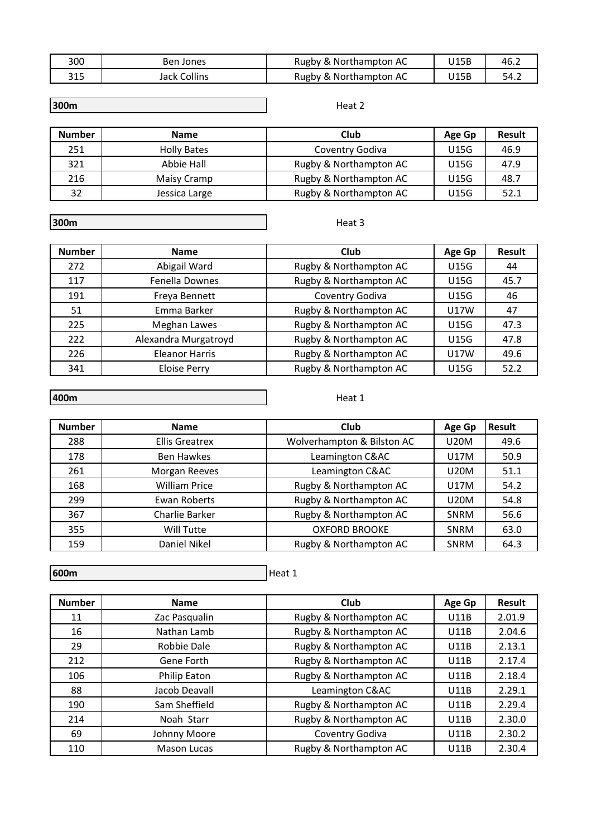| 300          | Ben Jones    | Rugby & Northampton AC | U15B | 46.2 |
|--------------|--------------|------------------------|------|------|
| 215<br>د 1 د | Jack Collins | Rugby & Northampton AC | U15B | 54.2 |

### Heat 2

| <b>Number</b> | <b>Name</b>        | Club                   | Age Gp | <b>Result</b> |
|---------------|--------------------|------------------------|--------|---------------|
| 251           | <b>Holly Bates</b> | Coventry Godiva        | U15G   | 46.9          |
| 321           | Abbie Hall         | Rugby & Northampton AC | U15G   | 47.9          |
| 216           | Maisy Cramp        | Rugby & Northampton AC | U15G   | 48.7          |
| 32            | Jessica Large      | Rugby & Northampton AC | U15G   | 52.1          |

**300m**

Heat 3

| <b>Number</b> | <b>Name</b>           | Club                   | Age Gp      | <b>Result</b> |
|---------------|-----------------------|------------------------|-------------|---------------|
| 272           | Abigail Ward          | Rugby & Northampton AC | <b>U15G</b> | 44            |
| 117           | <b>Fenella Downes</b> | Rugby & Northampton AC | <b>U15G</b> | 45.7          |
| 191           | Freya Bennett         | Coventry Godiva        | <b>U15G</b> | 46            |
| 51            | Emma Barker           | Rugby & Northampton AC | <b>U17W</b> | 47            |
| 225           | Meghan Lawes          | Rugby & Northampton AC | <b>U15G</b> | 47.3          |
| 222           | Alexandra Murgatroyd  | Rugby & Northampton AC | <b>U15G</b> | 47.8          |
| 226           | <b>Eleanor Harris</b> | Rugby & Northampton AC | <b>U17W</b> | 49.6          |
| 341           | <b>Eloise Perry</b>   | Rugby & Northampton AC | U15G        | 52.2          |

### **400m**

Heat 1

| <b>Number</b> | <b>Name</b>           | Club                       | Age Gp      | <b>Result</b> |
|---------------|-----------------------|----------------------------|-------------|---------------|
| 288           | <b>Ellis Greatrex</b> | Wolverhampton & Bilston AC | <b>U20M</b> | 49.6          |
| 178           | <b>Ben Hawkes</b>     | Leamington C&AC            | U17M        | 50.9          |
| 261           | Morgan Reeves         | Leamington C&AC            | <b>U20M</b> | 51.1          |
| 168           | <b>William Price</b>  | Rugby & Northampton AC     | U17M        | 54.2          |
| 299           | Ewan Roberts          | Rugby & Northampton AC     | <b>U20M</b> | 54.8          |
| 367           | Charlie Barker        | Rugby & Northampton AC     | <b>SNRM</b> | 56.6          |
| 355           | Will Tutte            | <b>OXFORD BROOKE</b>       | <b>SNRM</b> | 63.0          |
| 159           | Daniel Nikel          | Rugby & Northampton AC     | <b>SNRM</b> | 64.3          |

**600m** 

| <b>Number</b> | <b>Name</b>   | Club                   | Age Gp      | <b>Result</b> |
|---------------|---------------|------------------------|-------------|---------------|
| 11            | Zac Pasqualin | Rugby & Northampton AC | U11B        | 2.01.9        |
| 16            | Nathan Lamb   | Rugby & Northampton AC | U11B        | 2.04.6        |
| 29            | Robbie Dale   | Rugby & Northampton AC | U11B        | 2.13.1        |
| 212           | Gene Forth    | Rugby & Northampton AC | U11B        | 2.17.4        |
| 106           | Philip Eaton  | Rugby & Northampton AC | U11B        | 2.18.4        |
| 88            | Jacob Deavall | Leamington C&AC        | U11B        | 2.29.1        |
| 190           | Sam Sheffield | Rugby & Northampton AC | U11B        | 2.29.4        |
| 214           | Noah Starr    | Rugby & Northampton AC | U11B        | 2.30.0        |
| 69            | Johnny Moore  | Coventry Godiva        | U11B        | 2.30.2        |
| 110           | Mason Lucas   | Rugby & Northampton AC | <b>U11B</b> | 2.30.4        |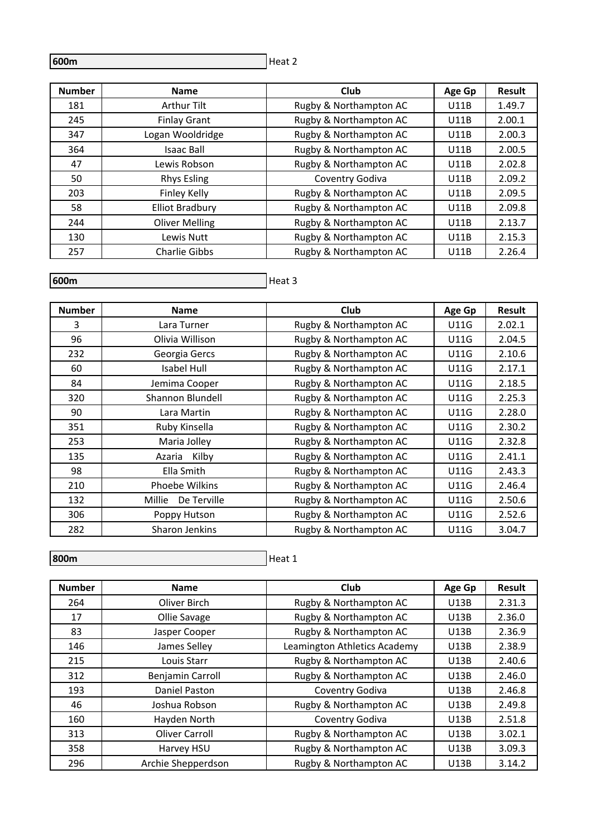Heat 2

| <b>Number</b> | <b>Name</b>            | <b>Club</b>            | Age Gp      | <b>Result</b> |
|---------------|------------------------|------------------------|-------------|---------------|
| 181           | <b>Arthur Tilt</b>     | Rugby & Northampton AC | U11B        | 1.49.7        |
| 245           | <b>Finlay Grant</b>    | Rugby & Northampton AC | U11B        | 2.00.1        |
| 347           | Logan Wooldridge       | Rugby & Northampton AC | U11B        | 2.00.3        |
| 364           | <b>Isaac Ball</b>      | Rugby & Northampton AC | U11B        | 2.00.5        |
| 47            | Lewis Robson           | Rugby & Northampton AC | U11B        | 2.02.8        |
| 50            | <b>Rhys Esling</b>     | Coventry Godiva        | U11B        | 2.09.2        |
| 203           | Finley Kelly           | Rugby & Northampton AC | U11B        | 2.09.5        |
| 58            | <b>Elliot Bradbury</b> | Rugby & Northampton AC | U11B        | 2.09.8        |
| 244           | <b>Oliver Melling</b>  | Rugby & Northampton AC | U11B        | 2.13.7        |
| 130           | Lewis Nutt             | Rugby & Northampton AC | U11B        | 2.15.3        |
| 257           | <b>Charlie Gibbs</b>   | Rugby & Northampton AC | <b>U11B</b> | 2.26.4        |

## **600m**

# Heat 3

| <b>Number</b> | <b>Name</b>           | Club                   | Age Gp      | Result |
|---------------|-----------------------|------------------------|-------------|--------|
| 3             | Lara Turner           | Rugby & Northampton AC | <b>U11G</b> | 2.02.1 |
| 96            | Olivia Willison       | Rugby & Northampton AC | U11G        | 2.04.5 |
| 232           | Georgia Gercs         | Rugby & Northampton AC | <b>U11G</b> | 2.10.6 |
| 60            | Isabel Hull           | Rugby & Northampton AC | <b>U11G</b> | 2.17.1 |
| 84            | Jemima Cooper         | Rugby & Northampton AC | <b>U11G</b> | 2.18.5 |
| 320           | Shannon Blundell      | Rugby & Northampton AC | <b>U11G</b> | 2.25.3 |
| 90            | Lara Martin           | Rugby & Northampton AC | <b>U11G</b> | 2.28.0 |
| 351           | Ruby Kinsella         | Rugby & Northampton AC | <b>U11G</b> | 2.30.2 |
| 253           | Maria Jolley          | Rugby & Northampton AC | <b>U11G</b> | 2.32.8 |
| 135           | Azaria Kilby          | Rugby & Northampton AC | <b>U11G</b> | 2.41.1 |
| 98            | Ella Smith            | Rugby & Northampton AC | <b>U11G</b> | 2.43.3 |
| 210           | <b>Phoebe Wilkins</b> | Rugby & Northampton AC | <b>U11G</b> | 2.46.4 |
| 132           | Millie<br>De Terville | Rugby & Northampton AC | <b>U11G</b> | 2.50.6 |
| 306           | Poppy Hutson          | Rugby & Northampton AC | <b>U11G</b> | 2.52.6 |
| 282           | Sharon Jenkins        | Rugby & Northampton AC | <b>U11G</b> | 3.04.7 |

## **800m**

| <b>Number</b> | <b>Name</b>        | Club                         | Age Gp      | <b>Result</b> |
|---------------|--------------------|------------------------------|-------------|---------------|
| 264           | Oliver Birch       | Rugby & Northampton AC       | U13B        | 2.31.3        |
| 17            | Ollie Savage       | Rugby & Northampton AC       | U13B        | 2.36.0        |
| 83            | Jasper Cooper      | Rugby & Northampton AC       | U13B        | 2.36.9        |
| 146           | James Selley       | Leamington Athletics Academy | U13B        | 2.38.9        |
| 215           | Louis Starr        | Rugby & Northampton AC       | U13B        | 2.40.6        |
| 312           | Benjamin Carroll   | Rugby & Northampton AC       | U13B        | 2.46.0        |
| 193           | Daniel Paston      | Coventry Godiva              | U13B        | 2.46.8        |
| 46            | Joshua Robson      | Rugby & Northampton AC       | U13B        | 2.49.8        |
| 160           | Hayden North       | Coventry Godiva              | U13B        | 2.51.8        |
| 313           | Oliver Carroll     | Rugby & Northampton AC       | U13B        | 3.02.1        |
| 358           | Harvey HSU         | Rugby & Northampton AC       | U13B        | 3.09.3        |
| 296           | Archie Shepperdson | Rugby & Northampton AC       | <b>U13B</b> | 3.14.2        |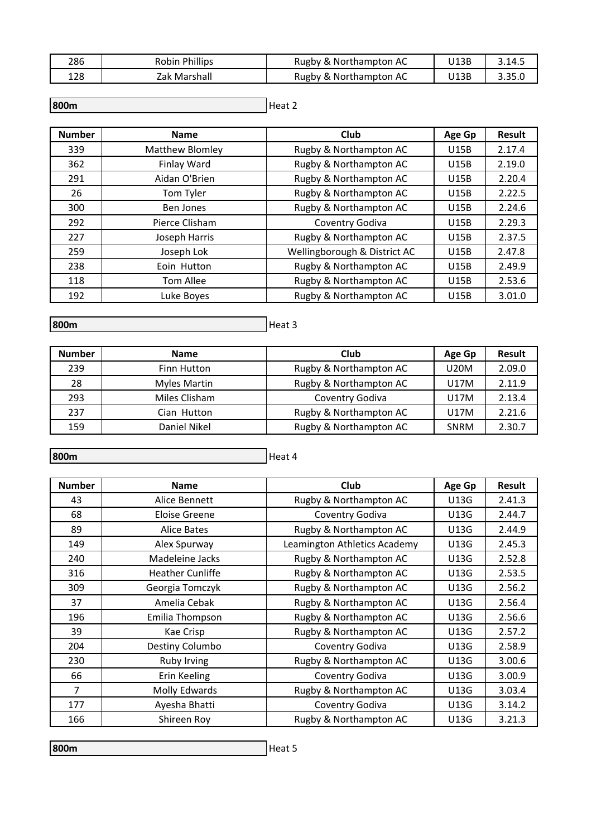| 286 | <b>Robin Phillips</b> | Rugby & Northampton AC | J13B | 3.14.5 |
|-----|-----------------------|------------------------|------|--------|
| 128 | Zak Marshall          | Rugby & Northampton AC | J13B | 3.35.0 |

Heat 2 **800m** 

| <b>Number</b> | <b>Name</b>      | Club                         | Age Gp      | <b>Result</b> |
|---------------|------------------|------------------------------|-------------|---------------|
| 339           | Matthew Blomley  | Rugby & Northampton AC       | <b>U15B</b> | 2.17.4        |
| 362           | Finlay Ward      | Rugby & Northampton AC       | <b>U15B</b> | 2.19.0        |
| 291           | Aidan O'Brien    | Rugby & Northampton AC       | <b>U15B</b> | 2.20.4        |
| 26            | Tom Tyler        | Rugby & Northampton AC       | U15B        | 2.22.5        |
| 300           | <b>Ben Jones</b> | Rugby & Northampton AC       | U15B        | 2.24.6        |
| 292           | Pierce Clisham   | Coventry Godiva              | U15B        | 2.29.3        |
| 227           | Joseph Harris    | Rugby & Northampton AC       | U15B        | 2.37.5        |
| 259           | Joseph Lok       | Wellingborough & District AC | U15B        | 2.47.8        |
| 238           | Eoin Hutton      | Rugby & Northampton AC       | U15B        | 2.49.9        |
| 118           | <b>Tom Allee</b> | Rugby & Northampton AC       | U15B        | 2.53.6        |
| 192           | Luke Boyes       | Rugby & Northampton AC       | U15B        | 3.01.0        |

**800m** 

| He<br>а |  |
|---------|--|
|---------|--|

| <b>Number</b> | <b>Name</b>         | Club                   | Age Gp      | <b>Result</b> |
|---------------|---------------------|------------------------|-------------|---------------|
| 239           | <b>Finn Hutton</b>  | Rugby & Northampton AC | <b>U20M</b> | 2.09.0        |
| 28            | <b>Myles Martin</b> | Rugby & Northampton AC | U17M        | 2.11.9        |
| 293           | Miles Clisham       | Coventry Godiva        | U17M        | 2.13.4        |
| 237           | Cian Hutton         | Rugby & Northampton AC | U17M        | 2.21.6        |
| 159           | Daniel Nikel        | Rugby & Northampton AC | <b>SNRM</b> | 2.30.7        |

**800m** 

Heat 4

| <b>Number</b> | <b>Name</b>             | Club                         | Age Gp      | Result |
|---------------|-------------------------|------------------------------|-------------|--------|
| 43            | Alice Bennett           | Rugby & Northampton AC       | U13G        | 2.41.3 |
| 68            | Eloise Greene           | Coventry Godiva              | U13G        | 2.44.7 |
| 89            | <b>Alice Bates</b>      | Rugby & Northampton AC       | U13G        | 2.44.9 |
| 149           | Alex Spurway            | Leamington Athletics Academy | U13G        | 2.45.3 |
| 240           | Madeleine Jacks         | Rugby & Northampton AC       | U13G        | 2.52.8 |
| 316           | <b>Heather Cunliffe</b> | Rugby & Northampton AC       | U13G        | 2.53.5 |
| 309           | Georgia Tomczyk         | Rugby & Northampton AC       | U13G        | 2.56.2 |
| 37            | Amelia Cebak            | Rugby & Northampton AC       | U13G        | 2.56.4 |
| 196           | Emilia Thompson         | Rugby & Northampton AC       | U13G        | 2.56.6 |
| 39            | Kae Crisp               | Rugby & Northampton AC       | U13G        | 2.57.2 |
| 204           | Destiny Columbo         | Coventry Godiva              | U13G        | 2.58.9 |
| 230           | Ruby Irving             | Rugby & Northampton AC       | U13G        | 3.00.6 |
| 66            | Erin Keeling            | Coventry Godiva              | U13G        | 3.00.9 |
| 7             | Molly Edwards           | Rugby & Northampton AC       | U13G        | 3.03.4 |
| 177           | Ayesha Bhatti           | Coventry Godiva              | U13G        | 3.14.2 |
| 166           | Shireen Roy             | Rugby & Northampton AC       | <b>U13G</b> | 3.21.3 |

Heat 5 **800m**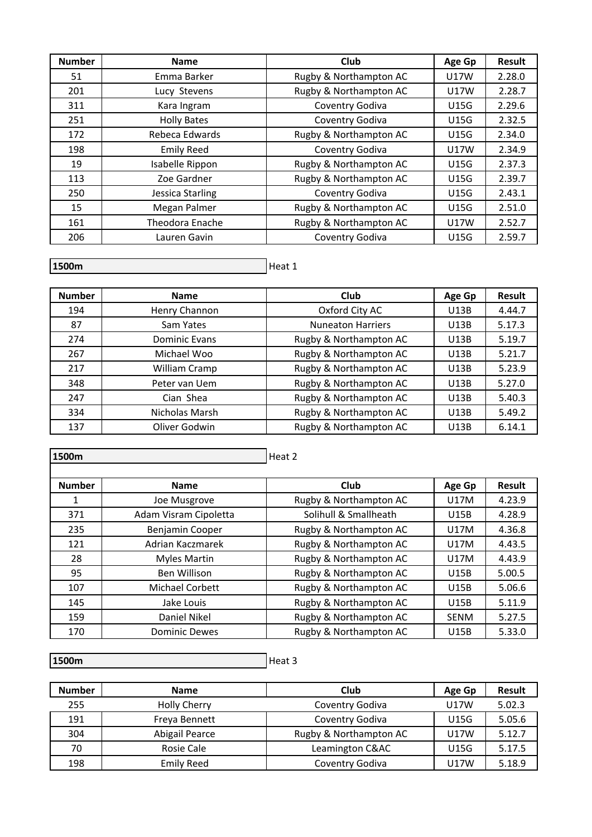| <b>Number</b> | <b>Name</b>        | <b>Club</b>            | Age Gp      | Result |
|---------------|--------------------|------------------------|-------------|--------|
| 51            | Emma Barker        | Rugby & Northampton AC | <b>U17W</b> | 2.28.0 |
| 201           | Lucy Stevens       | Rugby & Northampton AC | <b>U17W</b> | 2.28.7 |
| 311           | Kara Ingram        | Coventry Godiva        | U15G        | 2.29.6 |
| 251           | <b>Holly Bates</b> | Coventry Godiva        | <b>U15G</b> | 2.32.5 |
| 172           | Rebeca Edwards     | Rugby & Northampton AC | <b>U15G</b> | 2.34.0 |
| 198           | <b>Emily Reed</b>  | Coventry Godiva        | U17W        | 2.34.9 |
| 19            | Isabelle Rippon    | Rugby & Northampton AC | <b>U15G</b> | 2.37.3 |
| 113           | Zoe Gardner        | Rugby & Northampton AC | <b>U15G</b> | 2.39.7 |
| 250           | Jessica Starling   | Coventry Godiva        | <b>U15G</b> | 2.43.1 |
| 15            | Megan Palmer       | Rugby & Northampton AC | <b>U15G</b> | 2.51.0 |
| 161           | Theodora Enache    | Rugby & Northampton AC | U17W        | 2.52.7 |
| 206           | Lauren Gavin       | Coventry Godiva        | U15G        | 2.59.7 |

Heat 1

| <b>Number</b> | <b>Name</b>    | Club                     | Age Gp | Result |
|---------------|----------------|--------------------------|--------|--------|
| 194           | Henry Channon  | Oxford City AC           | U13B   | 4.44.7 |
| 87            | Sam Yates      | <b>Nuneaton Harriers</b> | U13B   | 5.17.3 |
| 274           | Dominic Evans  | Rugby & Northampton AC   | U13B   | 5.19.7 |
| 267           | Michael Woo    | Rugby & Northampton AC   | U13B   | 5.21.7 |
| 217           | William Cramp  | Rugby & Northampton AC   | U13B   | 5.23.9 |
| 348           | Peter van Uem  | Rugby & Northampton AC   | U13B   | 5.27.0 |
| 247           | Cian Shea      | Rugby & Northampton AC   | U13B   | 5.40.3 |
| 334           | Nicholas Marsh | Rugby & Northampton AC   | U13B   | 5.49.2 |
| 137           | Oliver Godwin  | Rugby & Northampton AC   | U13B   | 6.14.1 |

| 1500m         |                       | Heat 2                 |             |               |
|---------------|-----------------------|------------------------|-------------|---------------|
| <b>Number</b> | <b>Name</b>           | Club                   | Age Gp      | <b>Result</b> |
| 1             | Joe Musgrove          | Rugby & Northampton AC | <b>U17M</b> | 4.23.9        |
| 371           | Adam Visram Cipoletta | Solihull & Smallheath  | <b>U15B</b> | 4.28.9        |
| 235           | Benjamin Cooper       | Rugby & Northampton AC | U17M        | 4.36.8        |
| 121           | Adrian Kaczmarek      | Rugby & Northampton AC | U17M        | 4.43.5        |
| 28            | <b>Myles Martin</b>   | Rugby & Northampton AC | <b>U17M</b> | 4.43.9        |
| 95            | <b>Ben Willison</b>   | Rugby & Northampton AC | <b>U15B</b> | 5.00.5        |
| 107           | Michael Corbett       | Rugby & Northampton AC | <b>U15B</b> | 5.06.6        |
| 145           | Jake Louis            | Rugby & Northampton AC | <b>U15B</b> | 5.11.9        |
| 159           | Daniel Nikel          | Rugby & Northampton AC | <b>SENM</b> | 5.27.5        |
| 170           | <b>Dominic Dewes</b>  | Rugby & Northampton AC | <b>U15B</b> | 5.33.0        |

 $H$ eat 3 **1500m**

| <b>Number</b> | <b>Name</b>         | Club                   | Age Gp      | <b>Result</b> |
|---------------|---------------------|------------------------|-------------|---------------|
| 255           | <b>Holly Cherry</b> | Coventry Godiva        | U17W        | 5.02.3        |
| 191           | Freya Bennett       | Coventry Godiva        | U15G        | 5.05.6        |
| 304           | Abigail Pearce      | Rugby & Northampton AC | <b>U17W</b> | 5.12.7        |
| 70            | Rosie Cale          | Leamington C&AC        | <b>U15G</b> | 5.17.5        |
| 198           | <b>Emily Reed</b>   | Coventry Godiva        | U17W        | 5.18.9        |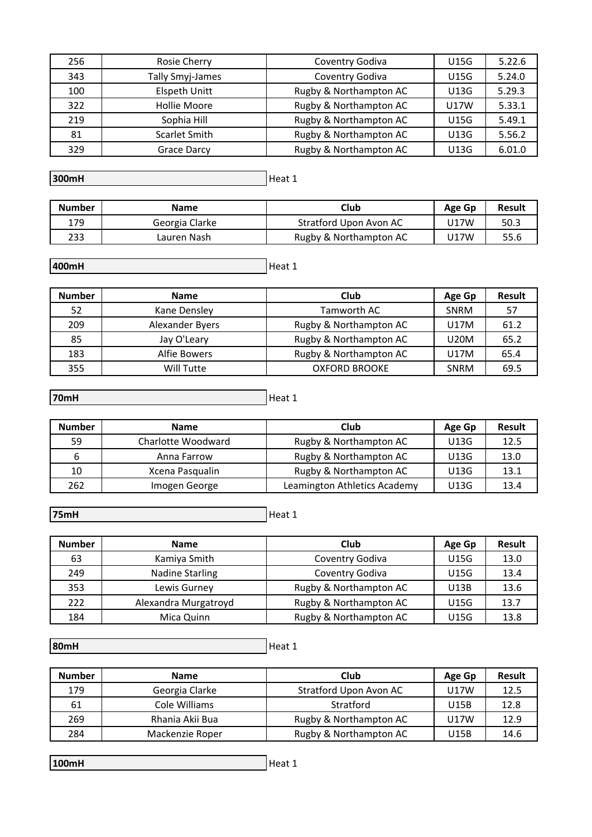| 256 | Rosie Cherry         | Coventry Godiva        | U15G | 5.22.6 |
|-----|----------------------|------------------------|------|--------|
| 343 | Tally Smyj-James     | Coventry Godiva        | U15G | 5.24.0 |
| 100 | <b>Elspeth Unitt</b> | Rugby & Northampton AC | U13G | 5.29.3 |
| 322 | <b>Hollie Moore</b>  | Rugby & Northampton AC | U17W | 5.33.1 |
| 219 | Sophia Hill          | Rugby & Northampton AC | U15G | 5.49.1 |
| 81  | <b>Scarlet Smith</b> | Rugby & Northampton AC | U13G | 5.56.2 |
| 329 | Grace Darcy          | Rugby & Northampton AC | U13G | 6.01.0 |

Heat 1 **300mH**

| <b>Number</b> | <b>Name</b>    | Club                   | Age Gp | Result |
|---------------|----------------|------------------------|--------|--------|
| 179           | Georgia Clarke | Stratford Upon Avon AC | J17W   | 50.3   |
| 233           | Lauren Nash    | Rugby & Northampton AC | J17W   | 55.6   |

Heat 1 **400mH**

| <b>Number</b> | <b>Name</b>     | Club                   | Age Gp      | <b>Result</b> |
|---------------|-----------------|------------------------|-------------|---------------|
| 52            | Kane Densley    | Tamworth AC            | <b>SNRM</b> | 57            |
| 209           | Alexander Byers | Rugby & Northampton AC | U17M        | 61.2          |
| 85            | Jay O'Leary     | Rugby & Northampton AC | <b>U20M</b> | 65.2          |
| 183           | Alfie Bowers    | Rugby & Northampton AC | U17M        | 65.4          |
| 355           | Will Tutte      | <b>OXFORD BROOKE</b>   | <b>SNRM</b> | 69.5          |

**70mH**

 $H$ eat 1

| <b>Number</b> | <b>Name</b>        | Club                         | Age Gp | <b>Result</b> |
|---------------|--------------------|------------------------------|--------|---------------|
| 59            | Charlotte Woodward | Rugby & Northampton AC       | U13G   | 12.5          |
|               | Anna Farrow        | Rugby & Northampton AC       | U13G   | 13.0          |
| 10            | Xcena Pasqualin    | Rugby & Northampton AC       | U13G   | 13.1          |
| 262           | Imogen George      | Leamington Athletics Academy | U13G   | 13.4          |

Heat 1 **75mH**

| <b>Number</b> | <b>Name</b>            | Club                   | Age Gp      | <b>Result</b> |
|---------------|------------------------|------------------------|-------------|---------------|
| 63            | Kamiya Smith           | Coventry Godiva        | U15G        | 13.0          |
| 249           | <b>Nadine Starling</b> | Coventry Godiva        | <b>U15G</b> | 13.4          |
| 353           | Lewis Gurney           | Rugby & Northampton AC | U13B        | 13.6          |
| 222           | Alexandra Murgatroyd   | Rugby & Northampton AC | U15G        | 13.7          |
| 184           | Mica Quinn             | Rugby & Northampton AC | U15G        | 13.8          |

Heat 1 **80mH**

| <b>Number</b> | <b>Name</b>     | Club                          | Age Gp | <b>Result</b> |
|---------------|-----------------|-------------------------------|--------|---------------|
| 179           | Georgia Clarke  | <b>Stratford Upon Avon AC</b> | U17W   | 12.5          |
| 61            | Cole Williams   | Stratford                     | U15B   | 12.8          |
| 269           | Rhania Akii Bua | Rugby & Northampton AC        | U17W   | 12.9          |
| 284           | Mackenzie Roper | Rugby & Northampton AC        | U15B   | 14.6          |

**100mH**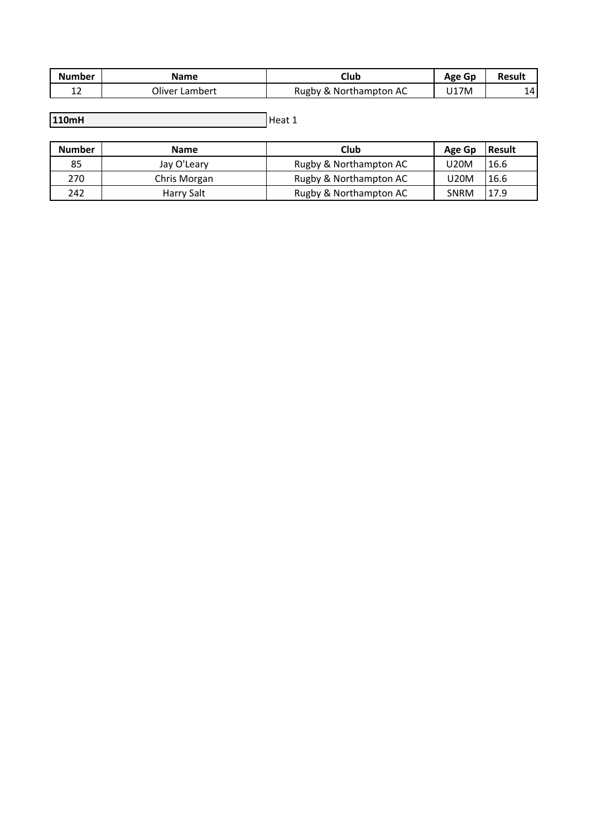| <b>Number</b> | Name                | Club                   | Age Gp | <b>Result</b> |
|---------------|---------------------|------------------------|--------|---------------|
| ∸∠            | Oliver L<br>∟ambert | Rugby & Northampton AC | U17M   | 14I           |

 $H$ eat 1 **110mH**

| <b>Number</b> | <b>Name</b>  | Club                   | Age Gp      | Result |
|---------------|--------------|------------------------|-------------|--------|
| 85            | Jay O'Leary  | Rugby & Northampton AC | <b>U20M</b> | 16.6   |
| 270           | Chris Morgan | Rugby & Northampton AC | U20M        | 16.6   |
| 242           | Harry Salt   | Rugby & Northampton AC | <b>SNRM</b> | 17.9   |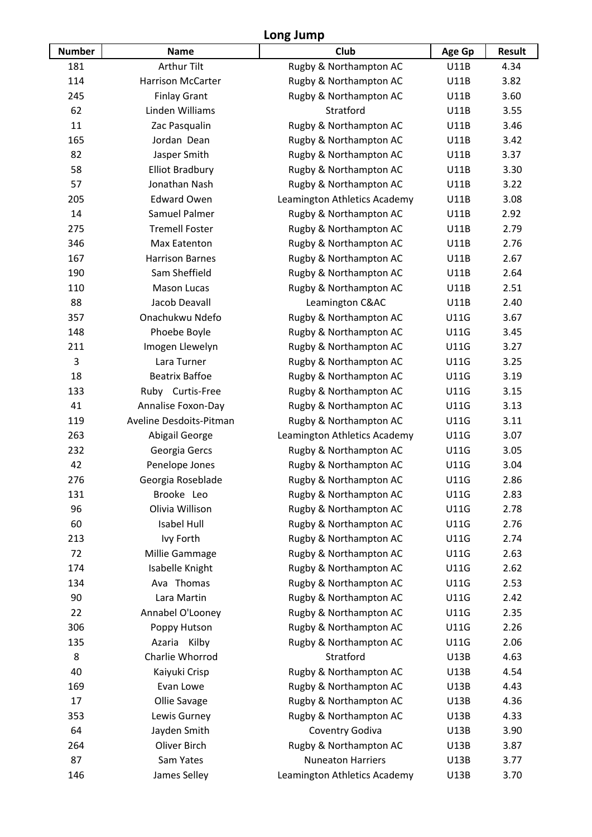## **Long Jump**

| <b>Number</b> | <b>Name</b>              | Club                         | Age Gp      | <b>Result</b> |
|---------------|--------------------------|------------------------------|-------------|---------------|
| 181           | <b>Arthur Tilt</b>       | Rugby & Northampton AC       | <b>U11B</b> | 4.34          |
| 114           | <b>Harrison McCarter</b> | Rugby & Northampton AC       | <b>U11B</b> | 3.82          |
| 245           | <b>Finlay Grant</b>      | Rugby & Northampton AC       | U11B        | 3.60          |
| 62            | Linden Williams          | Stratford                    | <b>U11B</b> | 3.55          |
| 11            | Zac Pasqualin            | Rugby & Northampton AC       | U11B        | 3.46          |
| 165           | Jordan Dean              | Rugby & Northampton AC       | <b>U11B</b> | 3.42          |
| 82            | Jasper Smith             | Rugby & Northampton AC       | <b>U11B</b> | 3.37          |
| 58            | <b>Elliot Bradbury</b>   | Rugby & Northampton AC       | <b>U11B</b> | 3.30          |
| 57            | Jonathan Nash            | Rugby & Northampton AC       | U11B        | 3.22          |
| 205           | <b>Edward Owen</b>       | Leamington Athletics Academy | <b>U11B</b> | 3.08          |
| 14            | Samuel Palmer            | Rugby & Northampton AC       | U11B        | 2.92          |
| 275           | <b>Tremell Foster</b>    | Rugby & Northampton AC       | U11B        | 2.79          |
| 346           | Max Eatenton             | Rugby & Northampton AC       | U11B        | 2.76          |
| 167           | <b>Harrison Barnes</b>   | Rugby & Northampton AC       | U11B        | 2.67          |
| 190           | Sam Sheffield            | Rugby & Northampton AC       | <b>U11B</b> | 2.64          |
| 110           | <b>Mason Lucas</b>       | Rugby & Northampton AC       | <b>U11B</b> | 2.51          |
| 88            | Jacob Deavall            | Leamington C&AC              | U11B        | 2.40          |
| 357           | Onachukwu Ndefo          | Rugby & Northampton AC       | <b>U11G</b> | 3.67          |
| 148           | Phoebe Boyle             | Rugby & Northampton AC       | <b>U11G</b> | 3.45          |
| 211           | Imogen Llewelyn          | Rugby & Northampton AC       | <b>U11G</b> | 3.27          |
| 3             | Lara Turner              | Rugby & Northampton AC       | <b>U11G</b> | 3.25          |
| 18            | <b>Beatrix Baffoe</b>    | Rugby & Northampton AC       | <b>U11G</b> | 3.19          |
| 133           | Ruby Curtis-Free         | Rugby & Northampton AC       | <b>U11G</b> | 3.15          |
| 41            | Annalise Foxon-Day       | Rugby & Northampton AC       | <b>U11G</b> | 3.13          |
| 119           | Aveline Desdoits-Pitman  | Rugby & Northampton AC       | <b>U11G</b> | 3.11          |
| 263           | Abigail George           | Leamington Athletics Academy | <b>U11G</b> | 3.07          |
| 232           | Georgia Gercs            | Rugby & Northampton AC       | <b>U11G</b> | 3.05          |
| 42            | Penelope Jones           | Rugby & Northampton AC       | U11G        | 3.04          |
| 276           | Georgia Roseblade        | Rugby & Northampton AC       | <b>U11G</b> | 2.86          |
| 131           | Brooke Leo               | Rugby & Northampton AC       | <b>U11G</b> | 2.83          |
| 96            | Olivia Willison          | Rugby & Northampton AC       | <b>U11G</b> | 2.78          |
| 60            | <b>Isabel Hull</b>       | Rugby & Northampton AC       | <b>U11G</b> | 2.76          |
| 213           | Ivy Forth                | Rugby & Northampton AC       | <b>U11G</b> | 2.74          |
| 72            | Millie Gammage           | Rugby & Northampton AC       | <b>U11G</b> | 2.63          |
| 174           | Isabelle Knight          | Rugby & Northampton AC       | <b>U11G</b> | 2.62          |
| 134           | Ava Thomas               | Rugby & Northampton AC       | <b>U11G</b> | 2.53          |
| 90            | Lara Martin              | Rugby & Northampton AC       | <b>U11G</b> | 2.42          |
| 22            | Annabel O'Looney         | Rugby & Northampton AC       | <b>U11G</b> | 2.35          |
| 306           | Poppy Hutson             | Rugby & Northampton AC       | <b>U11G</b> | 2.26          |
| 135           | Azaria Kilby             | Rugby & Northampton AC       | <b>U11G</b> | 2.06          |
| 8             | Charlie Whorrod          | Stratford                    | <b>U13B</b> | 4.63          |
| 40            | Kaiyuki Crisp            | Rugby & Northampton AC       | <b>U13B</b> | 4.54          |
| 169           | Evan Lowe                | Rugby & Northampton AC       | U13B        | 4.43          |
| 17            | Ollie Savage             | Rugby & Northampton AC       | <b>U13B</b> | 4.36          |
| 353           | Lewis Gurney             | Rugby & Northampton AC       | U13B        | 4.33          |
| 64            | Jayden Smith             | Coventry Godiva              | <b>U13B</b> | 3.90          |
| 264           | <b>Oliver Birch</b>      | Rugby & Northampton AC       | <b>U13B</b> | 3.87          |
| 87            | Sam Yates                | <b>Nuneaton Harriers</b>     | <b>U13B</b> | 3.77          |
| 146           | James Selley             | Leamington Athletics Academy | U13B        | 3.70          |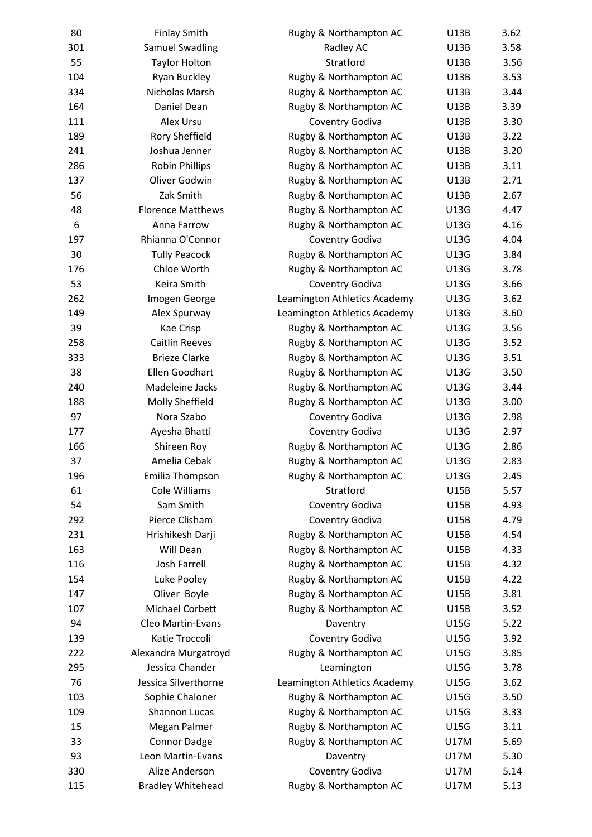| 80       | <b>Finlay Smith</b>      | Rugby & Northampton AC       | U13B        | 3.62 |
|----------|--------------------------|------------------------------|-------------|------|
| 301      | <b>Samuel Swadling</b>   | Radley AC                    | <b>U13B</b> | 3.58 |
| 55       | <b>Taylor Holton</b>     | Stratford                    | <b>U13B</b> | 3.56 |
| 104      | Ryan Buckley             | Rugby & Northampton AC       | U13B        | 3.53 |
| 334      | Nicholas Marsh           | Rugby & Northampton AC       | <b>U13B</b> | 3.44 |
| 164      | Daniel Dean              | Rugby & Northampton AC       | <b>U13B</b> | 3.39 |
| 111      | Alex Ursu                | Coventry Godiva              | <b>U13B</b> | 3.30 |
| 189      | Rory Sheffield           | Rugby & Northampton AC       | U13B        | 3.22 |
| 241      | Joshua Jenner            | Rugby & Northampton AC       | <b>U13B</b> | 3.20 |
| 286      | <b>Robin Phillips</b>    | Rugby & Northampton AC       | <b>U13B</b> | 3.11 |
| 137      | Oliver Godwin            | Rugby & Northampton AC       | <b>U13B</b> | 2.71 |
| 56       | Zak Smith                | Rugby & Northampton AC       | <b>U13B</b> | 2.67 |
| 48       | <b>Florence Matthews</b> | Rugby & Northampton AC       | U13G        | 4.47 |
| 6        | Anna Farrow              | Rugby & Northampton AC       | U13G        | 4.16 |
| 197      | Rhianna O'Connor         | Coventry Godiva              | U13G        | 4.04 |
| 30       | <b>Tully Peacock</b>     | Rugby & Northampton AC       | U13G        | 3.84 |
| 176      | Chloe Worth              | Rugby & Northampton AC       | U13G        | 3.78 |
| 53       | Keira Smith              | Coventry Godiva              | U13G        | 3.66 |
| 262      | Imogen George            | Leamington Athletics Academy | U13G        | 3.62 |
| 149      | Alex Spurway             | Leamington Athletics Academy | U13G        | 3.60 |
| 39       | Kae Crisp                | Rugby & Northampton AC       | U13G        | 3.56 |
| 258      | <b>Caitlin Reeves</b>    | Rugby & Northampton AC       | U13G        | 3.52 |
| 333      | <b>Brieze Clarke</b>     | Rugby & Northampton AC       | U13G        | 3.51 |
| 38       | Ellen Goodhart           | Rugby & Northampton AC       | U13G        | 3.50 |
| 240      | Madeleine Jacks          | Rugby & Northampton AC       | U13G        | 3.44 |
| 188      | Molly Sheffield          | Rugby & Northampton AC       | U13G        | 3.00 |
| 97       | Nora Szabo               | Coventry Godiva              | U13G        | 2.98 |
| 177      | Ayesha Bhatti            | Coventry Godiva              | U13G        | 2.97 |
| 166      | Shireen Roy              | Rugby & Northampton AC       | U13G        | 2.86 |
| 37       | Amelia Cebak             | Rugby & Northampton AC       | U13G        | 2.83 |
| 196      | Emilia Thompson          | Rugby & Northampton AC       | U13G        | 2.45 |
| 61       | Cole Williams            | Stratford                    | <b>U15B</b> | 5.57 |
| 54       | Sam Smith                | Coventry Godiva              | U15B        | 4.93 |
| 292      | Pierce Clisham           | Coventry Godiva              | U15B        | 4.79 |
| 231      | Hrishikesh Darji         | Rugby & Northampton AC       | U15B        | 4.54 |
| 163      | Will Dean                | Rugby & Northampton AC       | U15B        | 4.33 |
| 116      | <b>Josh Farrell</b>      | Rugby & Northampton AC       | U15B        | 4.32 |
| 154      | Luke Pooley              | Rugby & Northampton AC       | U15B        | 4.22 |
| 147      | Oliver Boyle             | Rugby & Northampton AC       | U15B        | 3.81 |
| 107      | Michael Corbett          | Rugby & Northampton AC       | U15B        | 3.52 |
| 94       | Cleo Martin-Evans        | Daventry                     | U15G        | 5.22 |
| 139      | Katie Troccoli           | Coventry Godiva              | U15G        | 3.92 |
| 222      | Alexandra Murgatroyd     | Rugby & Northampton AC       | U15G        | 3.85 |
| 295      | Jessica Chander          | Leamington                   | U15G        | 3.78 |
| 76       | Jessica Silverthorne     | Leamington Athletics Academy | U15G        | 3.62 |
| 103      | Sophie Chaloner          | Rugby & Northampton AC       | <b>U15G</b> | 3.50 |
| 109      |                          |                              |             |      |
|          | Shannon Lucas            | Rugby & Northampton AC       | U15G        | 3.33 |
| 15<br>33 | Megan Palmer             | Rugby & Northampton AC       | <b>U15G</b> | 3.11 |
|          | <b>Connor Dadge</b>      | Rugby & Northampton AC       | U17M        | 5.69 |
| 93       | Leon Martin-Evans        | Daventry                     | U17M        | 5.30 |
| 330      | Alize Anderson           | Coventry Godiva              | U17M        | 5.14 |
| 115      | <b>Bradley Whitehead</b> | Rugby & Northampton AC       | U17M        | 5.13 |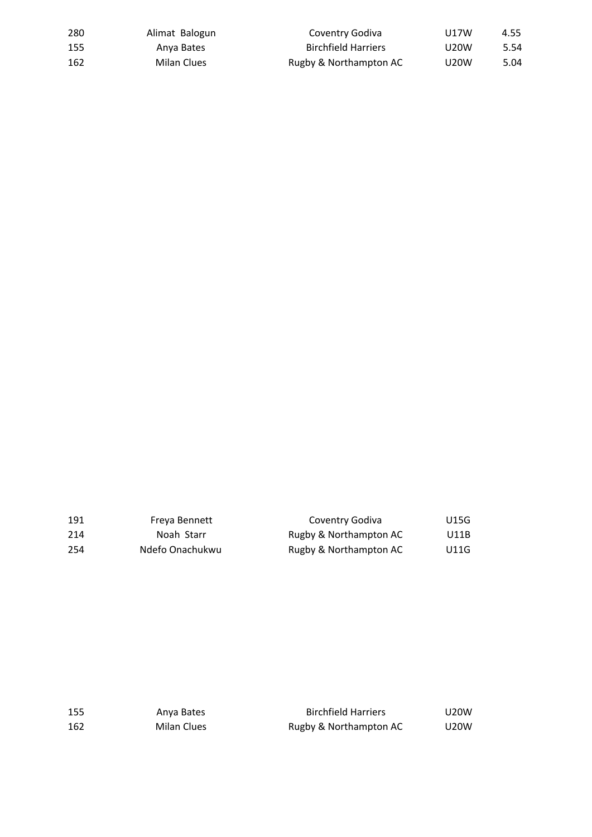| 280 | Alimat Balogun | Coventry Godiva            | U17W        | 4.55 |
|-----|----------------|----------------------------|-------------|------|
| 155 | Anva Bates     | <b>Birchfield Harriers</b> | U20W        | 5.54 |
| 162 | Milan Clues    | Rugby & Northampton AC     | <b>U20W</b> | 5.04 |

| 191  | Freva Bennett   | Coventry Godiva        | U15G |
|------|-----------------|------------------------|------|
| 214  | Noah Starr      | Rugby & Northampton AC | U11B |
| -254 | Ndefo Onachukwu | Rugby & Northampton AC | U11G |

| 155 | Anva Bates  | <b>Birchfield Harriers</b> | U20W |
|-----|-------------|----------------------------|------|
| 162 | Milan Clues | Rugby & Northampton AC     | U20W |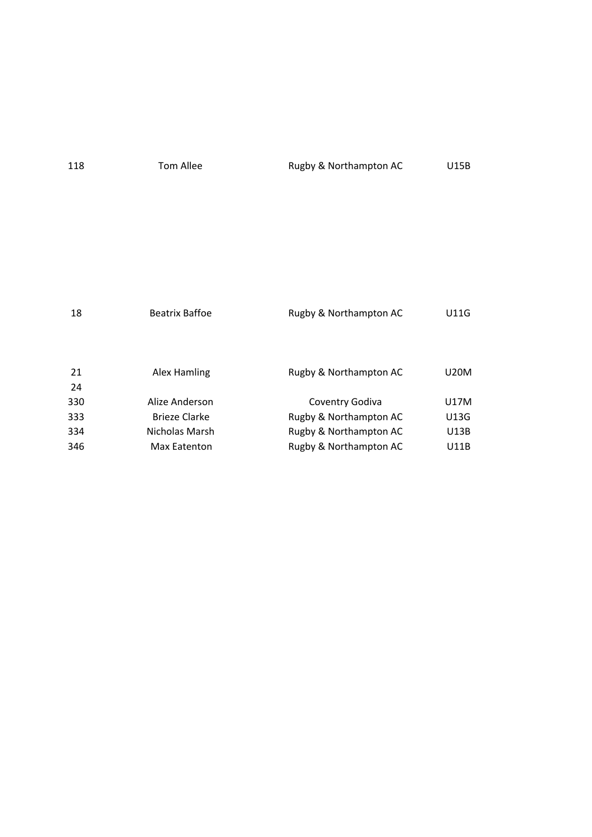| 118 | Tom Allee | Rugby & Northampton AC | <b>U15B</b> |
|-----|-----------|------------------------|-------------|
|     |           |                        |             |

| 18       | <b>Beatrix Baffoe</b> | Rugby & Northampton AC | U11G |
|----------|-----------------------|------------------------|------|
| 21<br>24 | Alex Hamling          | Rugby & Northampton AC | U20M |
| 330      | Alize Anderson        | Coventry Godiva        | U17M |
| 333      | Brieze Clarke         | Rugby & Northampton AC | U13G |
| 334      | Nicholas Marsh        | Rugby & Northampton AC | U13B |
| 346      | Max Eatenton          | Rugby & Northampton AC | U11B |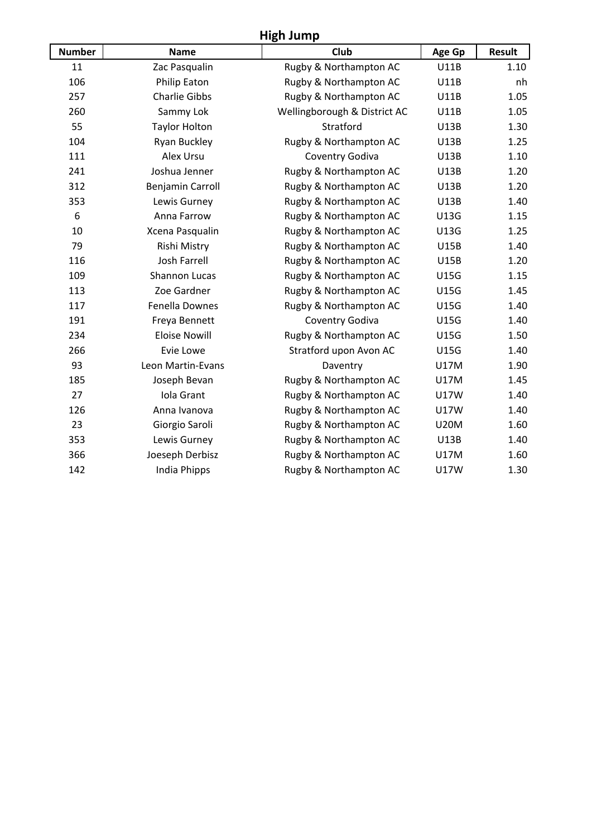# **High Jump**

| <b>Number</b> | <b>Name</b>             | Club                         | Age Gp      | <b>Result</b> |
|---------------|-------------------------|------------------------------|-------------|---------------|
| 11            | Zac Pasqualin           | Rugby & Northampton AC       | <b>U11B</b> | 1.10          |
| 106           | <b>Philip Eaton</b>     | Rugby & Northampton AC       | <b>U11B</b> | nh            |
| 257           | <b>Charlie Gibbs</b>    | Rugby & Northampton AC       | U11B        | 1.05          |
| 260           | Sammy Lok               | Wellingborough & District AC | <b>U11B</b> | 1.05          |
| 55            | <b>Taylor Holton</b>    | Stratford                    | <b>U13B</b> | 1.30          |
| 104           | <b>Ryan Buckley</b>     | Rugby & Northampton AC       | <b>U13B</b> | 1.25          |
| 111           | Alex Ursu               | Coventry Godiva              | <b>U13B</b> | 1.10          |
| 241           | Joshua Jenner           | Rugby & Northampton AC       | <b>U13B</b> | 1.20          |
| 312           | <b>Benjamin Carroll</b> | Rugby & Northampton AC       | <b>U13B</b> | 1.20          |
| 353           | Lewis Gurney            | Rugby & Northampton AC       | U13B        | 1.40          |
| 6             | Anna Farrow             | Rugby & Northampton AC       | <b>U13G</b> | 1.15          |
| 10            | Xcena Pasqualin         | Rugby & Northampton AC       | <b>U13G</b> | 1.25          |
| 79            | Rishi Mistry            | Rugby & Northampton AC       | <b>U15B</b> | 1.40          |
| 116           | <b>Josh Farrell</b>     | Rugby & Northampton AC       | <b>U15B</b> | 1.20          |
| 109           | <b>Shannon Lucas</b>    | Rugby & Northampton AC       | <b>U15G</b> | 1.15          |
| 113           | Zoe Gardner             | Rugby & Northampton AC       | <b>U15G</b> | 1.45          |
| 117           | <b>Fenella Downes</b>   | Rugby & Northampton AC       | <b>U15G</b> | 1.40          |
| 191           | Freya Bennett           | Coventry Godiva              | <b>U15G</b> | 1.40          |
| 234           | <b>Eloise Nowill</b>    | Rugby & Northampton AC       | <b>U15G</b> | 1.50          |
| 266           | Evie Lowe               | Stratford upon Avon AC       | <b>U15G</b> | 1.40          |
| 93            | Leon Martin-Evans       | Daventry                     | <b>U17M</b> | 1.90          |
| 185           | Joseph Bevan            | Rugby & Northampton AC       | <b>U17M</b> | 1.45          |
| 27            | Iola Grant              | Rugby & Northampton AC       | <b>U17W</b> | 1.40          |
| 126           | Anna Ivanova            | Rugby & Northampton AC       | <b>U17W</b> | 1.40          |
| 23            | Giorgio Saroli          | Rugby & Northampton AC       | <b>U20M</b> | 1.60          |
| 353           | Lewis Gurney            | Rugby & Northampton AC       | <b>U13B</b> | 1.40          |
| 366           | Joeseph Derbisz         | Rugby & Northampton AC       | <b>U17M</b> | 1.60          |
| 142           | <b>India Phipps</b>     | Rugby & Northampton AC       | <b>U17W</b> | 1.30          |
|               |                         |                              |             |               |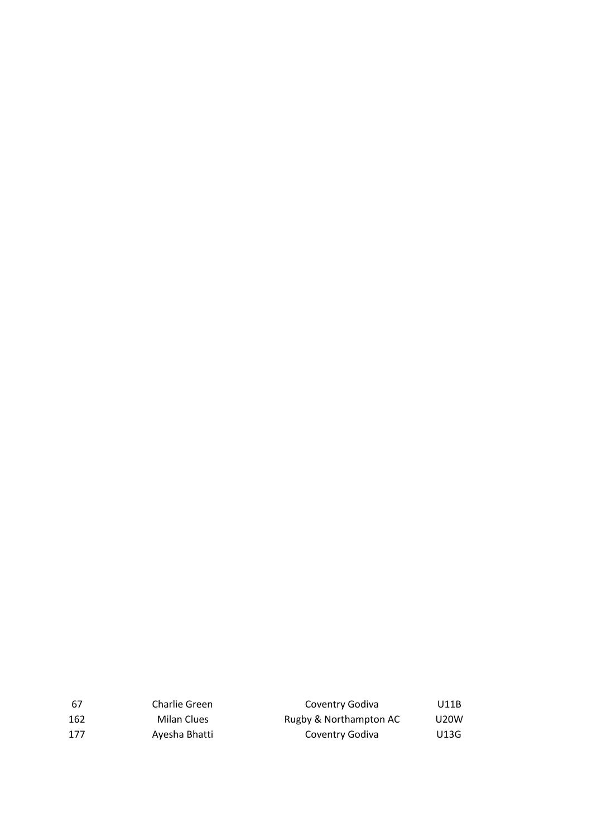| -67 | Charlie Green | Coventry Godiva        | U11B              |
|-----|---------------|------------------------|-------------------|
| 162 | Milan Clues   | Rugby & Northampton AC | U <sub>20</sub> W |
| 177 | Ayesha Bhatti | Coventry Godiva        | U13G              |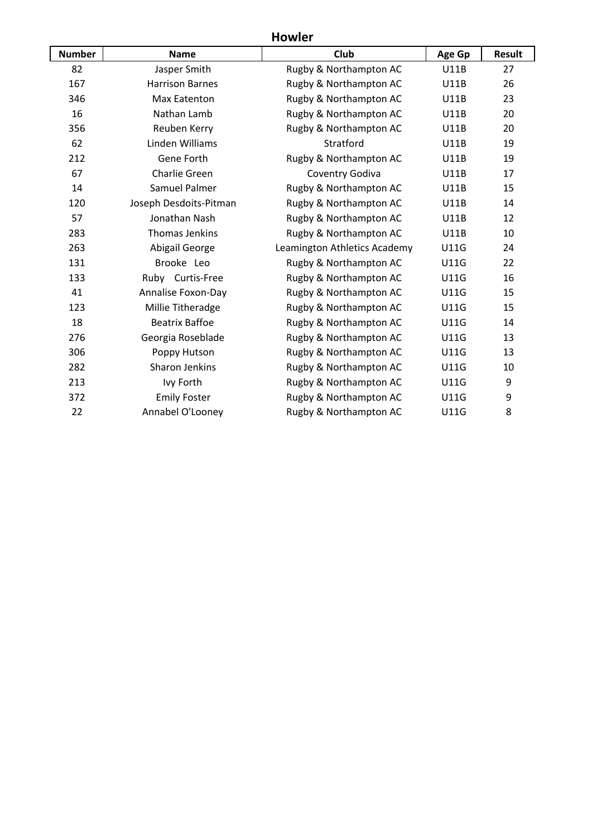## **Howler**

| <b>Number</b> | <b>Name</b>               | Club                         | Age Gp      | <b>Result</b> |
|---------------|---------------------------|------------------------------|-------------|---------------|
| 82            | Jasper Smith              | Rugby & Northampton AC       | <b>U11B</b> | 27            |
| 167           | <b>Harrison Barnes</b>    | Rugby & Northampton AC       | <b>U11B</b> | 26            |
| 346           | <b>Max Eatenton</b>       | Rugby & Northampton AC       | <b>U11B</b> | 23            |
| 16            | Nathan Lamb               | Rugby & Northampton AC       | <b>U11B</b> | 20            |
| 356           | Reuben Kerry              | Rugby & Northampton AC       | <b>U11B</b> | 20            |
| 62            | Linden Williams           | Stratford                    | <b>U11B</b> | 19            |
| 212           | Gene Forth                | Rugby & Northampton AC       | <b>U11B</b> | 19            |
| 67            | <b>Charlie Green</b>      | Coventry Godiva              | <b>U11B</b> | 17            |
| 14            | <b>Samuel Palmer</b>      | Rugby & Northampton AC       | <b>U11B</b> | 15            |
| 120           | Joseph Desdoits-Pitman    | Rugby & Northampton AC       | <b>U11B</b> | 14            |
| 57            | Jonathan Nash             | Rugby & Northampton AC       | <b>U11B</b> | 12            |
| 283           | <b>Thomas Jenkins</b>     | Rugby & Northampton AC       | <b>U11B</b> | 10            |
| 263           | Abigail George            | Leamington Athletics Academy | <b>U11G</b> | 24            |
| 131           | Brooke Leo                | Rugby & Northampton AC       | <b>U11G</b> | 22            |
| 133           | Ruby Curtis-Free          | Rugby & Northampton AC       | <b>U11G</b> | 16            |
| 41            | <b>Annalise Foxon-Day</b> | Rugby & Northampton AC       | <b>U11G</b> | 15            |
| 123           | Millie Titheradge         | Rugby & Northampton AC       | <b>U11G</b> | 15            |
| 18            | <b>Beatrix Baffoe</b>     | Rugby & Northampton AC       | <b>U11G</b> | 14            |
| 276           | Georgia Roseblade         | Rugby & Northampton AC       | <b>U11G</b> | 13            |
| 306           | Poppy Hutson              | Rugby & Northampton AC       | <b>U11G</b> | 13            |
| 282           | <b>Sharon Jenkins</b>     | Rugby & Northampton AC       | <b>U11G</b> | 10            |
| 213           | Ivy Forth                 | Rugby & Northampton AC       | <b>U11G</b> | 9             |
| 372           | <b>Emily Foster</b>       | Rugby & Northampton AC       | <b>U11G</b> | 9             |
| 22            | Annabel O'Looney          | Rugby & Northampton AC       | <b>U11G</b> | 8             |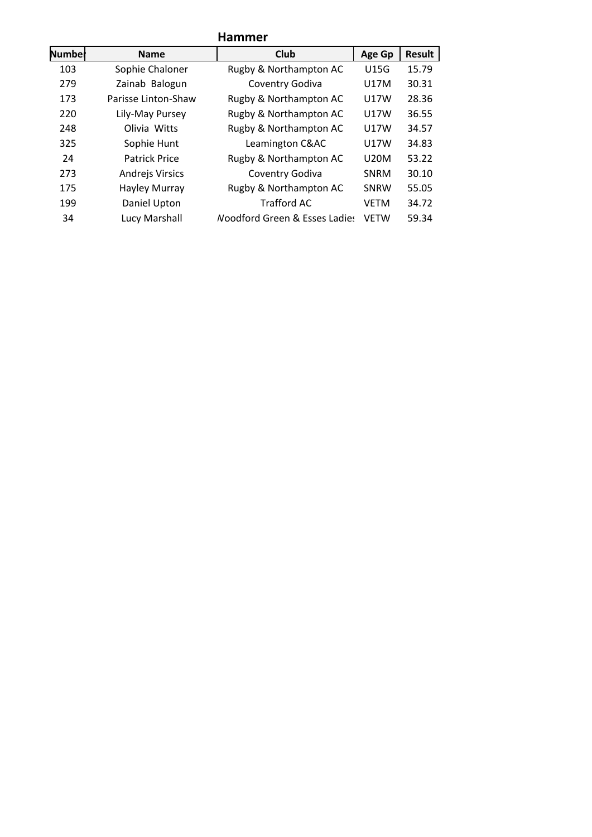| <b>Hammer</b> |                        |                                          |             |        |
|---------------|------------------------|------------------------------------------|-------------|--------|
| Numbel        | <b>Name</b>            | Club                                     | Age Gp      | Result |
| 103           | Sophie Chaloner        | Rugby & Northampton AC                   | U15G        | 15.79  |
| 279           | Zainab Balogun         | Coventry Godiva                          | U17M        | 30.31  |
| 173           | Parisse Linton-Shaw    | Rugby & Northampton AC                   | <b>U17W</b> | 28.36  |
| 220           | Lily-May Pursey        | Rugby & Northampton AC                   | U17W        | 36.55  |
| 248           | Olivia Witts           | Rugby & Northampton AC                   | <b>U17W</b> | 34.57  |
| 325           | Sophie Hunt            | Leamington C&AC                          | U17W        | 34.83  |
| 24            | <b>Patrick Price</b>   | Rugby & Northampton AC                   | U20M        | 53.22  |
| 273           | <b>Andrejs Virsics</b> | Coventry Godiva                          | <b>SNRM</b> | 30.10  |
| 175           | Hayley Murray          | Rugby & Northampton AC                   | SNRW        | 55.05  |
| 199           | Daniel Upton           | <b>Trafford AC</b>                       | <b>VETM</b> | 34.72  |
| 34            | Lucy Marshall          | <b>Noodford Green &amp; Esses Ladies</b> | <b>VETW</b> | 59.34  |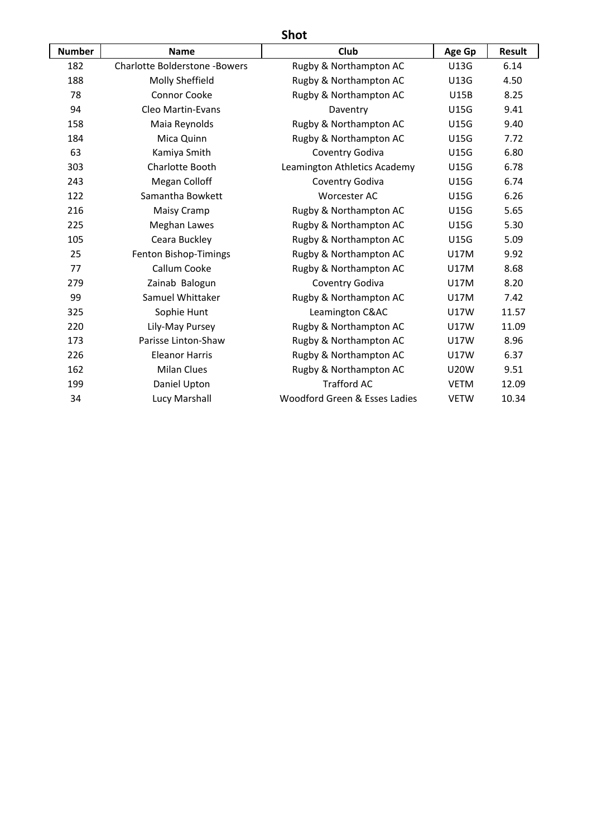# **Shot**

| <b>Number</b> | <b>Name</b>                          | Club                          | Age Gp      | <b>Result</b> |
|---------------|--------------------------------------|-------------------------------|-------------|---------------|
| 182           | <b>Charlotte Bolderstone -Bowers</b> | Rugby & Northampton AC        | U13G        | 6.14          |
| 188           | Molly Sheffield                      | Rugby & Northampton AC        | U13G        | 4.50          |
| 78            | Connor Cooke                         | Rugby & Northampton AC        | <b>U15B</b> | 8.25          |
| 94            | Cleo Martin-Evans                    | Daventry                      | <b>U15G</b> | 9.41          |
| 158           | Maia Reynolds                        | Rugby & Northampton AC        | <b>U15G</b> | 9.40          |
| 184           | Mica Quinn                           | Rugby & Northampton AC        | U15G        | 7.72          |
| 63            | Kamiya Smith                         | Coventry Godiva               | <b>U15G</b> | 6.80          |
| 303           | Charlotte Booth                      | Leamington Athletics Academy  | <b>U15G</b> | 6.78          |
| 243           | Megan Colloff                        | Coventry Godiva               | <b>U15G</b> | 6.74          |
| 122           | Samantha Bowkett                     | <b>Worcester AC</b>           | <b>U15G</b> | 6.26          |
| 216           | Maisy Cramp                          | Rugby & Northampton AC        | <b>U15G</b> | 5.65          |
| 225           | Meghan Lawes                         | Rugby & Northampton AC        | U15G        | 5.30          |
| 105           | Ceara Buckley                        | Rugby & Northampton AC        | U15G        | 5.09          |
| 25            | Fenton Bishop-Timings                | Rugby & Northampton AC        | <b>U17M</b> | 9.92          |
| 77            | Callum Cooke                         | Rugby & Northampton AC        | <b>U17M</b> | 8.68          |
| 279           | Zainab Balogun                       | Coventry Godiva               | <b>U17M</b> | 8.20          |
| 99            | Samuel Whittaker                     | Rugby & Northampton AC        | U17M        | 7.42          |
| 325           | Sophie Hunt                          | Leamington C&AC               | <b>U17W</b> | 11.57         |
| 220           | Lily-May Pursey                      | Rugby & Northampton AC        | <b>U17W</b> | 11.09         |
| 173           | Parisse Linton-Shaw                  | Rugby & Northampton AC        | <b>U17W</b> | 8.96          |
| 226           | <b>Eleanor Harris</b>                | Rugby & Northampton AC        | <b>U17W</b> | 6.37          |
| 162           | <b>Milan Clues</b>                   | Rugby & Northampton AC        | <b>U20W</b> | 9.51          |
| 199           | Daniel Upton                         | <b>Trafford AC</b>            | <b>VETM</b> | 12.09         |
| 34            | Lucy Marshall                        | Woodford Green & Esses Ladies | <b>VETW</b> | 10.34         |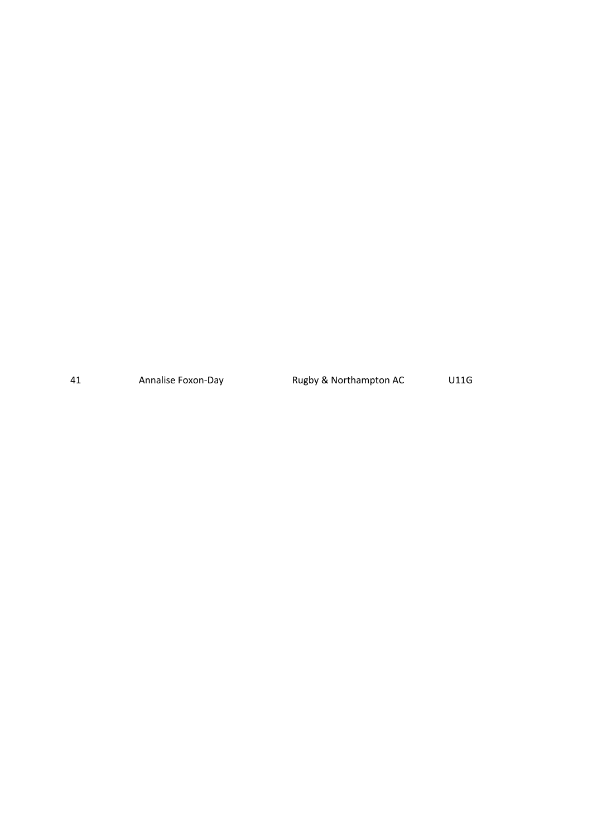41 Annalise Foxon-Day Rugby & Northampton AC U11G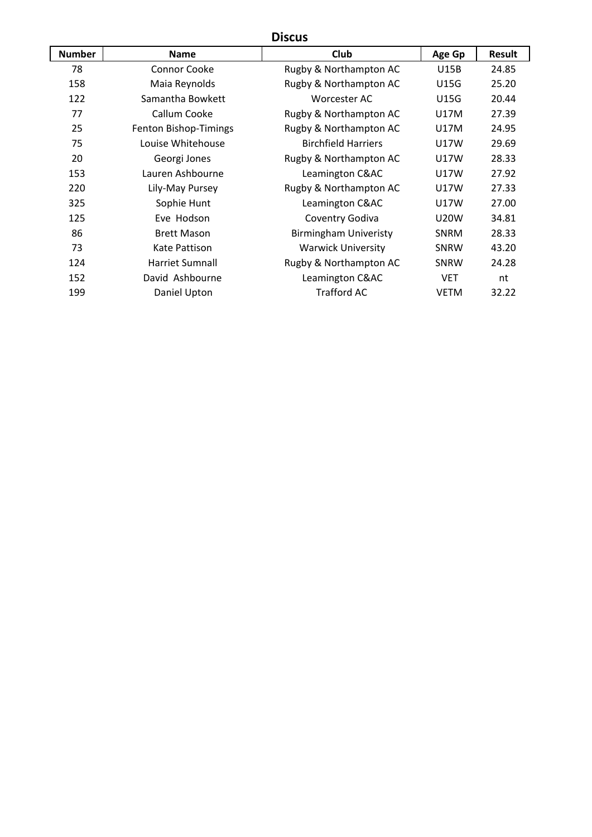# **Discus**

| <b>Number</b> | <b>Name</b>            | Club                         | Age Gp      | <b>Result</b> |  |
|---------------|------------------------|------------------------------|-------------|---------------|--|
| 78            | Connor Cooke           | Rugby & Northampton AC       | U15B        | 24.85         |  |
| 158           | Maia Reynolds          | Rugby & Northampton AC       | <b>U15G</b> | 25.20         |  |
| 122           | Samantha Bowkett       | Worcester AC                 | <b>U15G</b> | 20.44         |  |
| 77            | Callum Cooke           | Rugby & Northampton AC       | U17M        | 27.39         |  |
| 25            | Fenton Bishop-Timings  | Rugby & Northampton AC       | U17M        | 24.95         |  |
| 75            | Louise Whitehouse      | <b>Birchfield Harriers</b>   | U17W        | 29.69         |  |
| 20            | Georgi Jones           | Rugby & Northampton AC       | U17W        | 28.33         |  |
| 153           | Lauren Ashbourne       | Leamington C&AC              | <b>U17W</b> | 27.92         |  |
| 220           | Lily-May Pursey        | Rugby & Northampton AC       | U17W        | 27.33         |  |
| 325           | Sophie Hunt            | Leamington C&AC              | U17W        | 27.00         |  |
| 125           | Eve Hodson             | Coventry Godiva              | <b>U20W</b> | 34.81         |  |
| 86            | <b>Brett Mason</b>     | <b>Birmingham Univeristy</b> | <b>SNRM</b> | 28.33         |  |
| 73            | Kate Pattison          | <b>Warwick University</b>    | SNRW        | 43.20         |  |
| 124           | <b>Harriet Sumnall</b> | Rugby & Northampton AC       | SNRW        | 24.28         |  |
| 152           | David Ashbourne        | Leamington C&AC              | <b>VET</b>  | nt            |  |
| 199           | Daniel Upton           | <b>Trafford AC</b>           | <b>VETM</b> | 32.22         |  |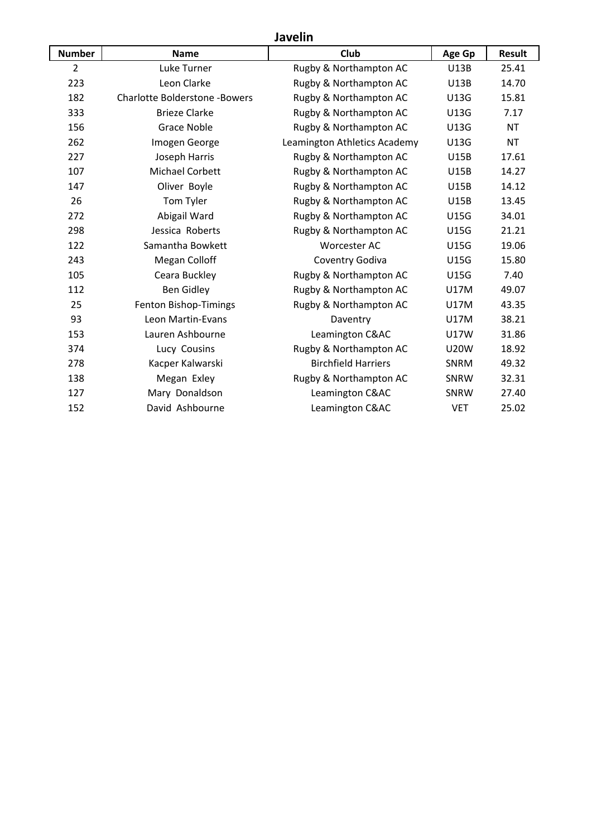# **Javelin**

| <b>Number</b>  | <b>Name</b>                          | Club                         | Age Gp      | <b>Result</b> |
|----------------|--------------------------------------|------------------------------|-------------|---------------|
| $\overline{2}$ | Luke Turner                          | Rugby & Northampton AC       | <b>U13B</b> | 25.41         |
| 223            | Leon Clarke                          | Rugby & Northampton AC       | <b>U13B</b> | 14.70         |
| 182            | <b>Charlotte Bolderstone -Bowers</b> | Rugby & Northampton AC       | U13G        | 15.81         |
| 333            | <b>Brieze Clarke</b>                 | Rugby & Northampton AC       | U13G        | 7.17          |
| 156            | <b>Grace Noble</b>                   | Rugby & Northampton AC       | U13G        | <b>NT</b>     |
| 262            | Imogen George                        | Leamington Athletics Academy | U13G        | <b>NT</b>     |
| 227            | Joseph Harris                        | Rugby & Northampton AC       | <b>U15B</b> | 17.61         |
| 107            | Michael Corbett                      | Rugby & Northampton AC       | <b>U15B</b> | 14.27         |
| 147            | Oliver Boyle                         | Rugby & Northampton AC       | <b>U15B</b> | 14.12         |
| 26             | Tom Tyler                            | Rugby & Northampton AC       | <b>U15B</b> | 13.45         |
| 272            | Abigail Ward                         | Rugby & Northampton AC       | U15G        | 34.01         |
| 298            | Jessica Roberts                      | Rugby & Northampton AC       | U15G        | 21.21         |
| 122            | Samantha Bowkett                     | <b>Worcester AC</b>          | U15G        | 19.06         |
| 243            | Megan Colloff                        | Coventry Godiva              | U15G        | 15.80         |
| 105            | Ceara Buckley                        | Rugby & Northampton AC       | <b>U15G</b> | 7.40          |
| 112            | <b>Ben Gidley</b>                    | Rugby & Northampton AC       | <b>U17M</b> | 49.07         |
| 25             | Fenton Bishop-Timings                | Rugby & Northampton AC       | <b>U17M</b> | 43.35         |
| 93             | Leon Martin-Evans                    | Daventry                     | U17M        | 38.21         |
| 153            | Lauren Ashbourne                     | Leamington C&AC              | <b>U17W</b> | 31.86         |
| 374            | Lucy Cousins                         | Rugby & Northampton AC       | <b>U20W</b> | 18.92         |
| 278            | Kacper Kalwarski                     | <b>Birchfield Harriers</b>   | SNRM        | 49.32         |
| 138            | Megan Exley                          | Rugby & Northampton AC       | SNRW        | 32.31         |
| 127            | Mary Donaldson                       | Leamington C&AC              | SNRW        | 27.40         |
| 152            | David Ashbourne                      | Leamington C&AC              | <b>VET</b>  | 25.02         |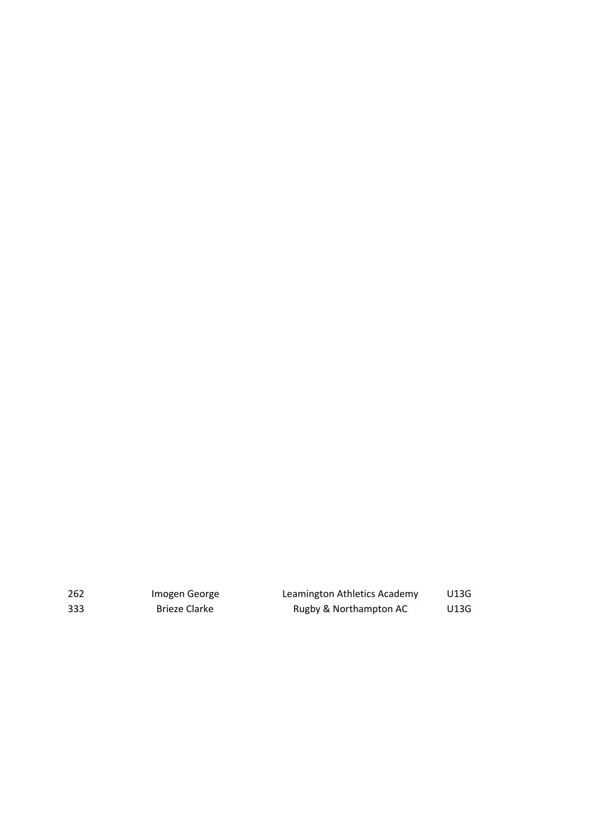| 262 | Imogen George | Leamington Athletics Academy | U13G |
|-----|---------------|------------------------------|------|
| 333 | Brieze Clarke | Rugby & Northampton AC       | U13G |